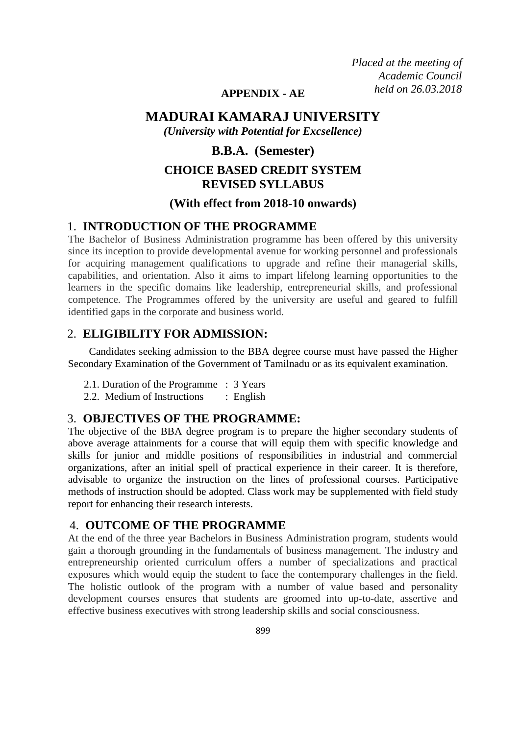*Placed at the meeting of Academic Council held on 26.03.2018*

## **APPENDIX - AE**

## **MADURAI KAMARAJ UNIVERSITY**

*(University with Potential for Excsellence)*

## **B.B.A. (Semester)**

# **CHOICE BASED CREDIT SYSTEM REVISED SYLLABUS**

## **(With effect from 2018-10 onwards)**

## 1. **INTRODUCTION OF THE PROGRAMME**

The Bachelor of Business Administration programme has been offered by this university since its inception to provide developmental avenue for working personnel and professionals for acquiring management qualifications to upgrade and refine their managerial skills, capabilities, and orientation. Also it aims to impart lifelong learning opportunities to the learners in the specific domains like leadership, entrepreneurial skills, and professional competence. The Programmes offered by the university are useful and geared to fulfill identified gaps in the corporate and business world.

## 2. **ELIGIBILITY FOR ADMISSION:**

 Candidates seeking admission to the BBA degree course must have passed the Higher Secondary Examination of the Government of Tamilnadu or as its equivalent examination.

- 2.1. Duration of the Programme : 3 Years
- 2.2. Medium of Instructions : English

## 3. **OBJECTIVES OF THE PROGRAMME:**

The objective of the BBA degree program is to prepare the higher secondary students of above average attainments for a course that will equip them with specific knowledge and skills for junior and middle positions of responsibilities in industrial and commercial organizations, after an initial spell of practical experience in their career. It is therefore, advisable to organize the instruction on the lines of professional courses. Participative methods of instruction should be adopted. Class work may be supplemented with field study report for enhancing their research interests.

#### 4. **OUTCOME OF THE PROGRAMME**

At the end of the three year Bachelors in Business Administration program, students would gain a thorough grounding in the fundamentals of business management. The industry and entrepreneurship oriented curriculum offers a number of specializations and practical exposures which would equip the student to face the contemporary challenges in the field. The holistic outlook of the program with a number of value based and personality development courses ensures that students are groomed into up-to-date, assertive and effective business executives with strong leadership skills and social consciousness.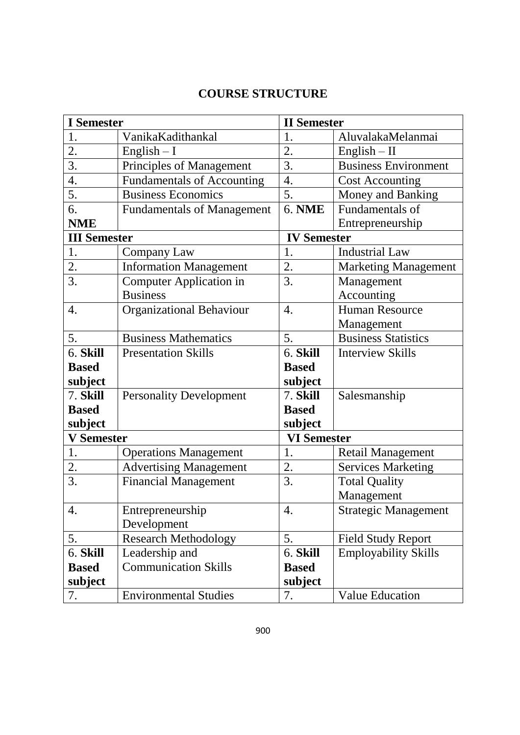# **COURSE STRUCTURE**

| <b>I</b> Semester   |                                   | <b>II</b> Semester |                             |  |  |
|---------------------|-----------------------------------|--------------------|-----------------------------|--|--|
| 1.                  | VanikaKadithankal                 | 1.                 | AluvalakaMelanmai           |  |  |
| 2.                  | $English - I$                     | 2.                 | $English - II$              |  |  |
| 3.                  | Principles of Management          | 3.                 | <b>Business Environment</b> |  |  |
| $\overline{4}$ .    | <b>Fundamentals of Accounting</b> | 4.                 | <b>Cost Accounting</b>      |  |  |
| 5.                  | <b>Business Economics</b>         | 5.                 | Money and Banking           |  |  |
| 6.                  | <b>Fundamentals of Management</b> | <b>6. NME</b>      | Fundamentals of             |  |  |
| <b>NME</b>          |                                   |                    | Entrepreneurship            |  |  |
| <b>III</b> Semester |                                   | <b>IV Semester</b> |                             |  |  |
| 1.                  | Company Law                       | 1.                 | <b>Industrial Law</b>       |  |  |
| 2.                  | <b>Information Management</b>     | 2.                 | <b>Marketing Management</b> |  |  |
| 3.                  | <b>Computer Application in</b>    | 3.                 | Management                  |  |  |
|                     | <b>Business</b>                   |                    | Accounting                  |  |  |
| $\overline{4}$ .    | Organizational Behaviour          | $\overline{4}$ .   | <b>Human Resource</b>       |  |  |
|                     |                                   |                    | Management                  |  |  |
| 5.                  | <b>Business Mathematics</b>       | 5.                 | <b>Business Statistics</b>  |  |  |
| $6.$ Skill          | <b>Presentation Skills</b>        | 6. Skill           | <b>Interview Skills</b>     |  |  |
| <b>Based</b>        |                                   | <b>Based</b>       |                             |  |  |
| subject             |                                   | subject            |                             |  |  |
| 7. Skill            | <b>Personality Development</b>    | 7. Skill           | Salesmanship                |  |  |
| <b>Based</b>        |                                   | <b>Based</b>       |                             |  |  |
| subject             |                                   | subject            |                             |  |  |
| <b>V</b> Semester   |                                   | <b>VI Semester</b> |                             |  |  |
| 1.                  | <b>Operations Management</b>      | 1.                 | <b>Retail Management</b>    |  |  |
| 2.                  | <b>Advertising Management</b>     | 2.                 | <b>Services Marketing</b>   |  |  |
| 3.                  | <b>Financial Management</b>       | 3.                 | <b>Total Quality</b>        |  |  |
|                     |                                   |                    | Management                  |  |  |
| 4.                  | Entrepreneurship                  | 4.                 | <b>Strategic Management</b> |  |  |
|                     | Development                       |                    |                             |  |  |
| 5.                  | <b>Research Methodology</b>       | 5.                 | <b>Field Study Report</b>   |  |  |
| 6. Skill            | Leadership and                    | 6. Skill           | <b>Employability Skills</b> |  |  |
| <b>Based</b>        | <b>Communication Skills</b>       | <b>Based</b>       |                             |  |  |
| subject             |                                   | subject            |                             |  |  |
| 7.                  | <b>Environmental Studies</b>      | 7.                 | <b>Value Education</b>      |  |  |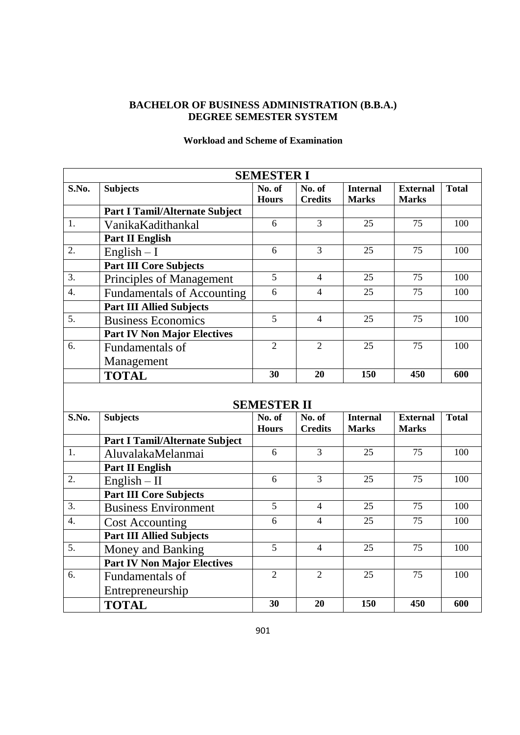## **BACHELOR OF BUSINESS ADMINISTRATION (B.B.A.) DEGREE SEMESTER SYSTEM**

|                        |                                       | <b>SEMESTER I</b>      |                          |                                 |                                 |              |
|------------------------|---------------------------------------|------------------------|--------------------------|---------------------------------|---------------------------------|--------------|
| S.No.                  | <b>Subjects</b>                       | No. of<br><b>Hours</b> | No. of<br><b>Credits</b> | <b>Internal</b><br><b>Marks</b> | <b>External</b><br><b>Marks</b> | <b>Total</b> |
|                        | <b>Part I Tamil/Alternate Subject</b> |                        |                          |                                 |                                 |              |
| 1.                     | VanikaKadithankal                     | 6                      | $\overline{3}$           | 25                              | 75                              | 100          |
|                        | <b>Part II English</b>                |                        |                          |                                 |                                 |              |
| 2.                     | $English - I$                         | 6                      | 3                        | 25                              | 75                              | 100          |
|                        | <b>Part III Core Subjects</b>         |                        |                          |                                 |                                 |              |
| 3.                     | Principles of Management              | 5                      | $\overline{4}$           | 25                              | 75                              | 100          |
| $\overline{4}$ .       | <b>Fundamentals of Accounting</b>     | 6                      | $\overline{4}$           | 25                              | 75                              | 100          |
|                        | <b>Part III Allied Subjects</b>       |                        |                          |                                 |                                 |              |
| 5.                     | <b>Business Economics</b>             | $\overline{5}$         | $\overline{4}$           | 25                              | 75                              | 100          |
|                        | <b>Part IV Non Major Electives</b>    |                        |                          |                                 |                                 |              |
| 6.                     | Fundamentals of                       | $\overline{2}$         | $\overline{2}$           | 25                              | 75                              | 100          |
|                        | Management                            |                        |                          |                                 |                                 |              |
|                        | <b>TOTAL</b>                          | 30                     | 20                       | 150                             | 450                             | 600          |
|                        |                                       | <b>SEMESTER II</b>     |                          |                                 |                                 |              |
| S.No.                  | <b>Subjects</b>                       | No. of<br><b>Hours</b> | No. of<br><b>Credits</b> | <b>Internal</b><br><b>Marks</b> | <b>External</b><br><b>Marks</b> | <b>Total</b> |
|                        | <b>Part I Tamil/Alternate Subject</b> |                        |                          |                                 |                                 |              |
| 1.                     | AluvalakaMelanmai                     | 6                      | $\overline{3}$           | 25                              | 75                              | 100          |
|                        | <b>Part II English</b>                |                        |                          |                                 |                                 |              |
| 2.                     | $English - II$                        | 6                      | 3                        | 25                              | 75                              | 100          |
|                        | <b>Part III Core Subjects</b>         |                        |                          |                                 |                                 |              |
| 3.                     | <b>Business Environment</b>           | 5                      | $\overline{4}$           | 25                              | 75                              | 100          |
| $\boldsymbol{\Lambda}$ | $Cost$ A compting                     | 6                      | $\boldsymbol{\Lambda}$   | 25                              | 75                              | 100          |

#### **Workload and Scheme of Examination**

|                  |                                       | ОЕВИРО ГЕК П           |                          |                                 |                                 |              |
|------------------|---------------------------------------|------------------------|--------------------------|---------------------------------|---------------------------------|--------------|
| S.No.            | <b>Subjects</b>                       | No. of<br><b>Hours</b> | No. of<br><b>Credits</b> | <b>Internal</b><br><b>Marks</b> | <b>External</b><br><b>Marks</b> | <b>Total</b> |
|                  |                                       |                        |                          |                                 |                                 |              |
|                  | <b>Part I Tamil/Alternate Subject</b> |                        |                          |                                 |                                 |              |
| $\overline{1}$ . | AluvalakaMelanmai                     | 6                      | 3                        | 25                              | 75                              | 100          |
|                  | <b>Part II English</b>                |                        |                          |                                 |                                 |              |
| $\overline{2}$ . | $English - II$                        | 6                      | 3                        | 25                              | 75                              | 100          |
|                  | <b>Part III Core Subjects</b>         |                        |                          |                                 |                                 |              |
| $\overline{3}$ . | <b>Business Environment</b>           | 5                      | $\overline{4}$           | 25                              | 75                              | 100          |
| 4.               | <b>Cost Accounting</b>                | 6                      | $\overline{4}$           | 25                              | 75                              | 100          |
|                  | <b>Part III Allied Subjects</b>       |                        |                          |                                 |                                 |              |
| $\overline{5}$ . | Money and Banking                     | 5                      | $\overline{4}$           | 25                              | 75                              | 100          |
|                  | <b>Part IV Non Major Electives</b>    |                        |                          |                                 |                                 |              |
| 6.               | Fundamentals of                       | $\overline{2}$         | 2                        | 25                              | 75                              | 100          |
|                  | Entrepreneurship                      |                        |                          |                                 |                                 |              |
|                  | <b>TOTAL</b>                          | 30                     | 20                       | 150                             | 450                             | 600          |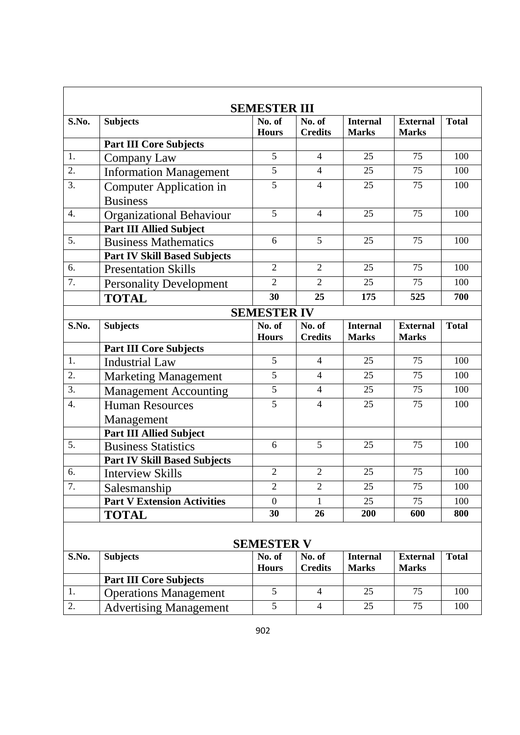| <b>SEMESTER III</b> |                                                               |                        |                          |                                 |                                 |              |  |
|---------------------|---------------------------------------------------------------|------------------------|--------------------------|---------------------------------|---------------------------------|--------------|--|
| S.No.               | <b>Subjects</b>                                               | No. of<br><b>Hours</b> | No. of<br><b>Credits</b> | <b>Internal</b><br><b>Marks</b> | <b>External</b><br><b>Marks</b> | <b>Total</b> |  |
|                     | <b>Part III Core Subjects</b>                                 |                        |                          |                                 |                                 |              |  |
| 1.                  | Company Law                                                   | 5                      | $\overline{4}$           | 25                              | 75                              | 100          |  |
| 2.                  | <b>Information Management</b>                                 | 5                      | $\overline{4}$           | 25                              | 75                              | 100          |  |
| 3.                  | <b>Computer Application in</b>                                | 5                      | $\overline{4}$           | 25                              | 75                              | 100          |  |
|                     | <b>Business</b>                                               |                        |                          |                                 |                                 |              |  |
| 4.                  | <b>Organizational Behaviour</b>                               | 5                      | $\overline{4}$           | 25                              | 75                              | 100          |  |
|                     | <b>Part III Allied Subject</b>                                |                        |                          |                                 |                                 |              |  |
| 5.                  | <b>Business Mathematics</b>                                   | 6                      | 5                        | 25                              | 75                              | 100          |  |
|                     | <b>Part IV Skill Based Subjects</b>                           |                        |                          |                                 |                                 |              |  |
| 6.                  | <b>Presentation Skills</b>                                    | $\overline{2}$         | $\overline{2}$           | 25                              | 75                              | 100          |  |
| $\overline{7}$ .    | <b>Personality Development</b>                                | $\overline{2}$         | $\overline{2}$           | 25                              | 75                              | 100          |  |
|                     | <b>TOTAL</b>                                                  | 30                     | 25                       | 175                             | 525                             | 700          |  |
|                     |                                                               | <b>SEMESTER IV</b>     |                          |                                 |                                 |              |  |
| S.No.               | <b>Subjects</b>                                               | No. of                 | No. of                   | <b>Internal</b>                 | <b>External</b>                 | <b>Total</b> |  |
|                     |                                                               | <b>Hours</b>           | <b>Credits</b>           | <b>Marks</b>                    | <b>Marks</b>                    |              |  |
| 1.                  | <b>Part III Core Subjects</b><br><b>Industrial Law</b>        | 5                      | $\overline{4}$           | 25                              | 75                              | 100          |  |
| 2.                  |                                                               | 5                      | $\overline{4}$           | 25                              | 75                              | 100          |  |
| $\overline{3}$ .    | <b>Marketing Management</b>                                   | 5                      | $\overline{4}$           | 25                              | 75                              | 100          |  |
| $\overline{4}$ .    | <b>Management Accounting</b><br><b>Human Resources</b>        | $\overline{5}$         | $\overline{4}$           | 25                              | 75                              | 100          |  |
|                     |                                                               |                        |                          |                                 |                                 |              |  |
|                     | Management<br><b>Part III Allied Subject</b>                  |                        |                          |                                 |                                 |              |  |
| 5.                  | <b>Business Statistics</b>                                    | 6                      | 5                        | 25                              | 75                              | 100          |  |
|                     | <b>Part IV Skill Based Subjects</b>                           |                        |                          |                                 |                                 |              |  |
| 6.                  | <b>Interview Skills</b>                                       | $\overline{2}$         | $\overline{2}$           | 25                              | 75                              | 100          |  |
| 7.                  | Salesmanship                                                  | 2                      | $\overline{2}$           | 25                              | 75                              | 100          |  |
|                     | <b>Part V Extension Activities</b>                            | $\theta$               |                          | 25                              | 75                              | 100          |  |
|                     | <b>TOTAL</b>                                                  | 30                     | 26                       | 200                             | 600                             | 800          |  |
|                     |                                                               |                        |                          |                                 |                                 |              |  |
|                     |                                                               | <b>SEMESTER V</b>      |                          |                                 |                                 |              |  |
| S.No.               | <b>Subjects</b>                                               | No. of                 | No. of                   | <b>Internal</b>                 | <b>External</b>                 | <b>Total</b> |  |
|                     |                                                               | <b>Hours</b>           | <b>Credits</b>           | <b>Marks</b>                    | <b>Marks</b>                    |              |  |
| 1.                  | <b>Part III Core Subjects</b><br><b>Operations Management</b> | 5                      | $\overline{4}$           | 25                              | 75                              | 100          |  |
| 2.                  |                                                               | 5                      | $\overline{4}$           | 25                              | 75                              | 100          |  |
|                     | <b>Advertising Management</b>                                 |                        |                          |                                 |                                 |              |  |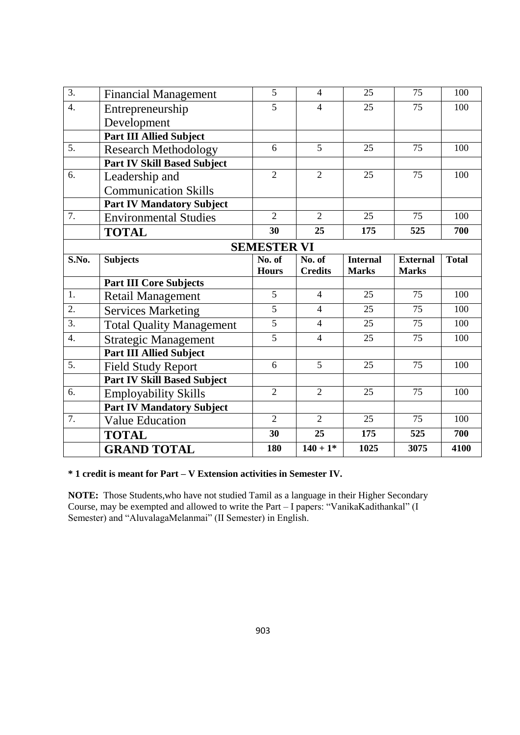| 3.               | <b>Financial Management</b>        | 5                  | $\overline{4}$ | 25              | 75              | 100          |
|------------------|------------------------------------|--------------------|----------------|-----------------|-----------------|--------------|
| $\overline{4}$ . | Entrepreneurship                   | 5                  | $\overline{4}$ | 25              | 75              | 100          |
|                  | Development                        |                    |                |                 |                 |              |
|                  | <b>Part III Allied Subject</b>     |                    |                |                 |                 |              |
| $\overline{5}$ . | <b>Research Methodology</b>        | $\overline{6}$     | $\overline{5}$ | 25              | 75              | 100          |
|                  | <b>Part IV Skill Based Subject</b> |                    |                |                 |                 |              |
| 6.               | Leadership and                     | $\overline{2}$     | $\overline{2}$ | 25              | 75              | 100          |
|                  | <b>Communication Skills</b>        |                    |                |                 |                 |              |
|                  | <b>Part IV Mandatory Subject</b>   |                    |                |                 |                 |              |
| 7.               | <b>Environmental Studies</b>       | $\overline{2}$     | $\overline{2}$ | 25              | 75              | 100          |
|                  | <b>TOTAL</b>                       | 30                 | 25             | 175             | 525             | 700          |
|                  |                                    | <b>SEMESTER VI</b> |                |                 |                 |              |
| S.No.            | <b>Subjects</b>                    | No. of             | No. of         | <b>Internal</b> | <b>External</b> | <b>Total</b> |
|                  |                                    | <b>Hours</b>       | <b>Credits</b> | <b>Marks</b>    | <b>Marks</b>    |              |
|                  | <b>Part III Core Subjects</b>      |                    |                |                 |                 |              |
| 1.               | <b>Retail Management</b>           | $\overline{5}$     | $\overline{4}$ | 25              | 75              | 100          |
| 2.               | <b>Services Marketing</b>          | $\overline{5}$     | $\overline{4}$ | 25              | 75              | 100          |
| $\overline{3}$ . | <b>Total Quality Management</b>    | $\overline{5}$     | $\overline{4}$ | 25              | $\overline{75}$ | 100          |
| $\overline{4}$ . |                                    |                    |                |                 |                 |              |
|                  | <b>Strategic Management</b>        | 5                  | $\overline{4}$ | 25              | 75              | 100          |
|                  | <b>Part III Allied Subject</b>     |                    |                |                 |                 |              |
| 5.               | <b>Field Study Report</b>          | 6                  | 5              | 25              | 75              | 100          |
|                  | <b>Part IV Skill Based Subject</b> |                    |                |                 |                 |              |
| 6.               | <b>Employability Skills</b>        | $\overline{2}$     | $\overline{2}$ | 25              | 75              | 100          |
|                  | <b>Part IV Mandatory Subject</b>   |                    |                |                 |                 |              |
| 7.               | <b>Value Education</b>             | $\overline{2}$     | $\overline{2}$ | 25              | 75              | 100          |
|                  | <b>TOTAL</b>                       | 30                 | 25             | 175             | 525             | 700          |

**\* 1 credit is meant for Part – V Extension activities in Semester IV.**

**NOTE:** Those Students,who have not studied Tamil as a language in their Higher Secondary Course, may be exempted and allowed to write the Part – I papers: "VanikaKadithankal" (I Semester) and "AluvalagaMelanmai" (II Semester) in English.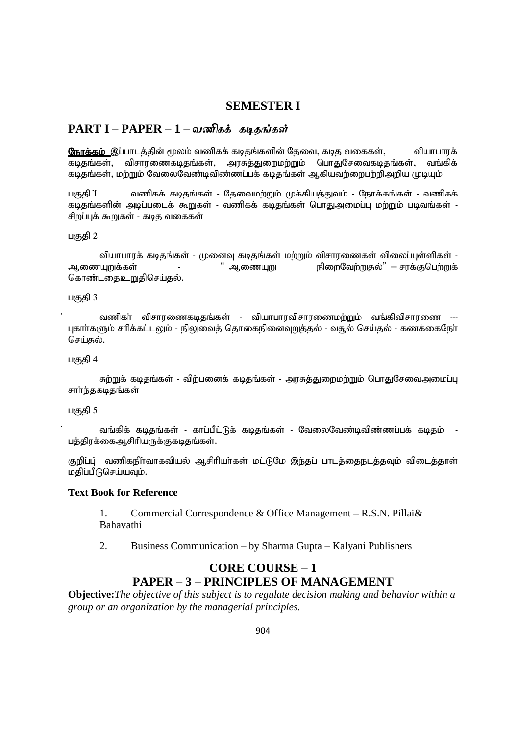#### **SEMESTER I**

#### **PART I – PAPER – 1 –**

நோக்கம் இப்பாடத்தின் மூலம் வணிகக் கடிதங்களின் தேவை, கடித வகைகள், வியாபாரக் கடிதங்கள், விசாரணைகடிதங்கள், அரசுத்துறைமற்றும் பொதுசேவைகடிதங்கள், வங்கிக் கடிதங்கள், மற்றும் வேலைவேண்டிவிண்ணப்பக் கடிதங்கள் ஆகியவற்றைபற்றிஅறிய முடியும்

பகுதி 1 வணிகக் கடிதங்கள் - தேவைமற்றும் முக்கியத்துவம் - நோக்கங்கள் - வணிகக் கடிதங்களின் அடிப்படைக் கூறுகள் - வணிகக் கடிதங்கள் பொதுஅமைப்பு மற்றும் படிவங்கள் -சிறப்புக் கூறுகள் - கடித வகைகள்

#### பகுதி  $2$

tpahghuf; foj';fs; - Kidt[ foj';fs; kw;Wk; tprhuizfs; tpiyg;g[s;spfs; - Miza[Wf;fs; - " Miza[W epiwntw;Wjy;" – ruf;Fbgw;Wf; கொண்டதைஉறுதிசெய்தல்.

#### பகுதி 3

வணிகா் விசாரணைகடிதங்கள் - வியாபாரவிசாரணைமற்றும் வங்கிவிசாரணை ---புகாா்களும் சரிக்கட்டலும் - நிலுவைத் தொகைநினைவுறுத்தல் - வசூல் செய்தல் - கணக்கைநோ செய்தல்.

#### பகுதி 4

சுற்றுக் கடிதங்கள் - விற்பனைக் கடிதங்கள் - அரசுத்துறைமற்றும் பொதுசேவைஅமைப்பு சாா்ந்தகடிதங்கள்

பகுதி 5

வங்கிக் கடிதங்கள் - காப்பீட்டுக் கடிதங்கள் - வேலைவேண்டிவிண்ணப்பக் கடிதம் பத்திரக்கைஆசிரியருக்குகடிதங்கள்.

குறிப்பு் வணிகநிாவாகவியல் ஆசிரியா்கள் மட்டுமே இந்தப் பாடத்தைநடத்தவும் விடைத்தாள் மதிப்பீடுசெய்யவும்.

#### **Text Book for Reference**

1. Commercial Correspondence & Office Management – R.S.N. Pillai& Bahavathi

2. Business Communication – by Sharma Gupta – Kalyani Publishers

## **CORE COURSE – 1 PAPER – 3 – PRINCIPLES OF MANAGEMENT**

**Objective:***The objective of this subject is to regulate decision making and behavior within a group or an organization by the managerial principles.*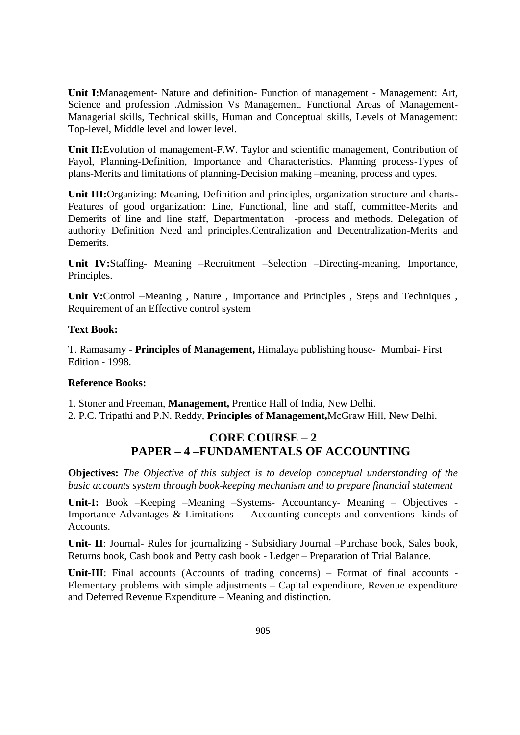**Unit I:**Management- Nature and definition- Function of management - Management: Art, Science and profession .Admission Vs Management. Functional Areas of Management-Managerial skills, Technical skills, Human and Conceptual skills, Levels of Management: Top-level, Middle level and lower level.

**Unit II:**Evolution of management-F.W. Taylor and scientific management, Contribution of Fayol, Planning-Definition, Importance and Characteristics. Planning process-Types of plans-Merits and limitations of planning-Decision making –meaning, process and types.

**Unit III:**Organizing: Meaning, Definition and principles, organization structure and charts-Features of good organization: Line, Functional, line and staff, committee-Merits and Demerits of line and line staff, Departmentation -process and methods. Delegation of authority Definition Need and principles.Centralization and Decentralization-Merits and Demerits.

**Unit IV:**Staffing- Meaning –Recruitment –Selection –Directing-meaning, Importance, Principles.

**Unit V:**Control –Meaning , Nature , Importance and Principles , Steps and Techniques , Requirement of an Effective control system

#### **Text Book:**

T. Ramasamy - **Principles of Management,** Himalaya publishing house- Mumbai- First Edition - 1998.

#### **Reference Books:**

1. Stoner and Freeman, **Management,** Prentice Hall of India, New Delhi. 2. P.C. Tripathi and P.N. Reddy, **Principles of Management,**McGraw Hill, New Delhi.

## **CORE COURSE – 2 PAPER – 4 –FUNDAMENTALS OF ACCOUNTING**

**Objectives:** *The Objective of this subject is to develop conceptual understanding of the basic accounts system through book-keeping mechanism and to prepare financial statement*

**Unit-I:** Book –Keeping –Meaning –Systems- Accountancy- Meaning – Objectives - Importance-Advantages & Limitations- – Accounting concepts and conventions- kinds of Accounts.

**Unit- II**: Journal- Rules for journalizing - Subsidiary Journal –Purchase book, Sales book, Returns book, Cash book and Petty cash book - Ledger – Preparation of Trial Balance.

**Unit-III**: Final accounts (Accounts of trading concerns) – Format of final accounts - Elementary problems with simple adjustments – Capital expenditure, Revenue expenditure and Deferred Revenue Expenditure – Meaning and distinction.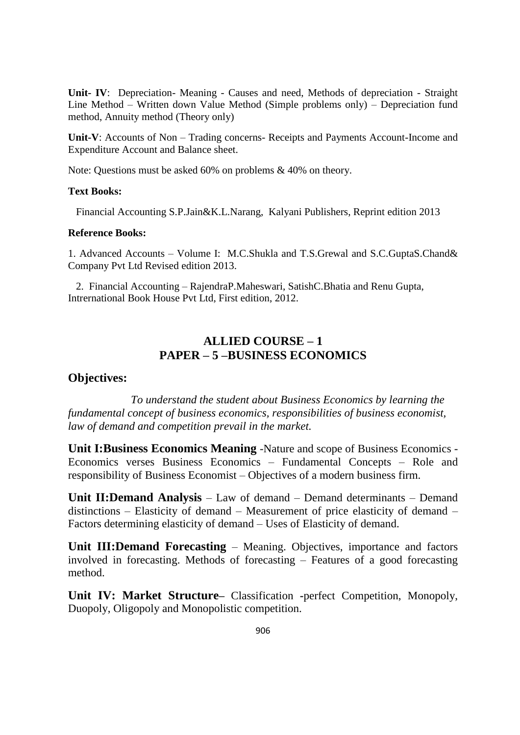**Unit- IV**: Depreciation- Meaning - Causes and need, Methods of depreciation - Straight Line Method – Written down Value Method (Simple problems only) – Depreciation fund method, Annuity method (Theory only)

**Unit-V**: Accounts of Non – Trading concerns- Receipts and Payments Account-Income and Expenditure Account and Balance sheet.

Note: Questions must be asked 60% on problems & 40% on theory.

#### **Text Books:**

Financial Accounting S.P.Jain&K.L.Narang, Kalyani Publishers, Reprint edition 2013

#### **Reference Books:**

1. Advanced Accounts – Volume I: M.C.Shukla and T.S.Grewal and S.C.GuptaS.Chand& Company Pvt Ltd Revised edition 2013.

 2. Financial Accounting – RajendraP.Maheswari, SatishC.Bhatia and Renu Gupta, Intrernational Book House Pvt Ltd, First edition, 2012.

## **ALLIED COURSE – 1 PAPER – 5 –BUSINESS ECONOMICS**

#### **Objectives:**

*To understand the student about Business Economics by learning the fundamental concept of business economics, responsibilities of business economist, law of demand and competition prevail in the market.*

**Unit I:Business Economics Meaning** -Nature and scope of Business Economics - Economics verses Business Economics – Fundamental Concepts – Role and responsibility of Business Economist – Objectives of a modern business firm.

**Unit II:Demand Analysis** – Law of demand – Demand determinants – Demand distinctions – Elasticity of demand – Measurement of price elasticity of demand – Factors determining elasticity of demand – Uses of Elasticity of demand.

**Unit III:Demand Forecasting** – Meaning. Objectives, importance and factors involved in forecasting. Methods of forecasting – Features of a good forecasting method.

**Unit IV: Market Structure–** Classification **-**perfect Competition, Monopoly, Duopoly, Oligopoly and Monopolistic competition.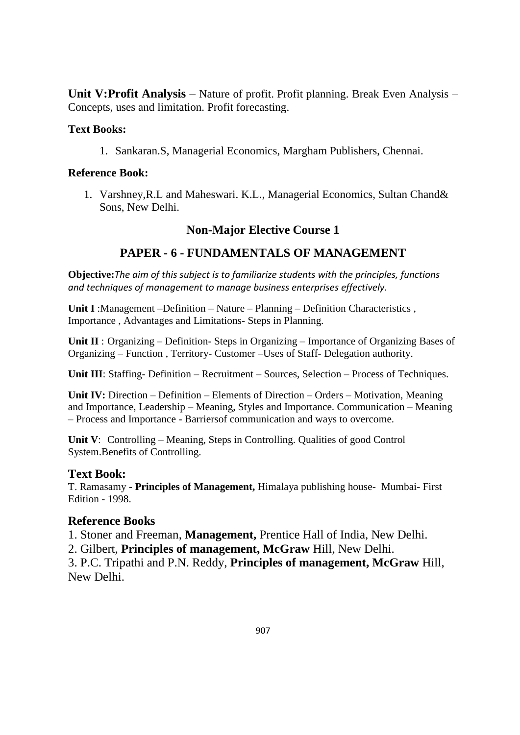**Unit V:Profit Analysis** – Nature of profit. Profit planning. Break Even Analysis – Concepts, uses and limitation. Profit forecasting.

## **Text Books:**

1. Sankaran.S, Managerial Economics, Margham Publishers, Chennai.

## **Reference Book:**

1. Varshney,R.L and Maheswari. K.L., Managerial Economics, Sultan Chand& Sons, New Delhi.

## **Non-Major Elective Course 1**

## **PAPER - 6 - FUNDAMENTALS OF MANAGEMENT**

**Objective:***The aim of this subject is to familiarize students with the principles, functions and techniques of management to manage business enterprises effectively.*

**Unit I** :Management –Definition – Nature – Planning – Definition Characteristics , Importance , Advantages and Limitations- Steps in Planning.

**Unit II** : Organizing – Definition- Steps in Organizing – Importance of Organizing Bases of Organizing – Function , Territory- Customer –Uses of Staff- Delegation authority.

**Unit III**: Staffing- Definition – Recruitment – Sources, Selection – Process of Techniques.

**Unit IV:** Direction – Definition – Elements of Direction – Orders – Motivation, Meaning and Importance, Leadership – Meaning, Styles and Importance. Communication – Meaning – Process and Importance - Barriersof communication and ways to overcome.

**Unit V**: Controlling – Meaning, Steps in Controlling. Qualities of good Control System.Benefits of Controlling.

## **Text Book:**

T. Ramasamy - **Principles of Management,** Himalaya publishing house- Mumbai- First Edition - 1998.

## **Reference Books**

1. Stoner and Freeman, **Management,** Prentice Hall of India, New Delhi.

2. Gilbert, **Principles of management, McGraw** Hill, New Delhi.

3. P.C. Tripathi and P.N. Reddy, **Principles of management, McGraw** Hill, New Delhi.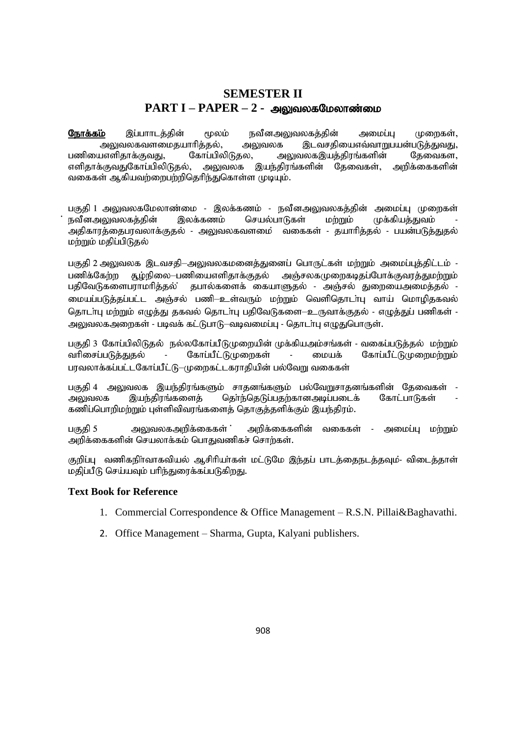## **SEMESTER II**  $\textbf{PART I} - \textbf{PAPER} - 2$  - அலுவலகமேலாண்மை

<mark>நோக்கம்</mark> இப்பாாடத்தின் மூலம் நவீனஅலுவலகத்தின் அமைப்பு முறைகள், அலுவலகவளமைதயாரித்தல், அலுவலக இடவசதியைஎவ்வாறுபயன்படுத்துவது,<br>பஎளிதாக்குவது, கோப்பிலிடுதல, அலுவலகஇயத்திரங்களின் தேவைகள, பணியைஎளிதாக்குவது, கோப்பிலிடுதல, அலுவலகஇயத்திரங்களின் தேவைகள, எளிதாக்குவதுகோப்பிலிடுதல், அலுவலக இயந்திரங்களின் தேவைகள், அறிக்கைகளின் வகைகள் ஆகியவற்றைபற்றிதெரிந்துகொள்ள முடியும்.

பகுதி 1 அலுவலகமேலாண்மை - இலக்கணம் - நவீனஅலுவலகத்தின் அமைப்பு முறைகள் நவீனஅலுவலகக்கின் இலக்கணம் செயல்பாடுகள் மற்றும் முக்கியக்குவம் அதிகாரத்தைபரவலாக்குதல் - அலுவலகவளமை ் வகைகள் - தயாரித்தல் - பயன்படுத்துதல் மற்றும் மதிப்பிடுதல்

பகுதி 2 அலுவலக இடவசதி–அலுவலகமனைத்துனைப் பொருட்கள் மற்றும் அமைப்புத்திட்டம் -பணிக்கேற்ற சூழ்நிலை—பணியைஎளிதாக்குதல் அஞ்சலகமுறைகடிதப்போக்குவரத்துமற்றும் பதிவேடுகளைபராமரித்தல் தபால்களைக் கையாளுதல் - அஞ்சல் துறையைஅமைத்தல் -மையப்படுத்தப்பட்ட அஞ்சல் பணி—உள்வரும் மற்றும் வெளிதொடா்பு வாய் மொழிதகவல் தொடா்பு மற்றும் எழுத்து தகவல் தொடா்பு பதிவேடுகளை—உருவாக்குதல் - எழுத்துப் பணிகள் -அலுவலகஅறைகள் - படிவக் கட்டுபாடு–வடிவமைப்பு - தொடா்பு எழுதுபொருள்.

பகுதி 3 கோப்பிலிடுதல் நல்லகோப்பீடுமுறையின் முக்கியஅம்சங்கள் - வகைப்படுத்தல் மற்றும் வரிசைப்படுத்துதல் - கோப்பீட்டுமுறைகள் - மையக் கோப்பீட்டுமுறைமற்றும் பரவலாக்கப்பட்டகோப்பீட்டு–முறைகட்டகராதியின் பல்வேறு வகைகள்

பகுதி 4 அலுவலக இயந்திரங்களும் சாதனங்களும் பல்வேறுசாதனங்களின் தேவைகள் அலுவலக இயந்திரங்களைத் தொ்ந்தெடுப்பதற்கானஅடிப்படைக் கோட்பாடுகள் கணிப்பொறிமற்றும் புள்ளிவிவரங்களைத் தொகுத்தளிக்கும் இயந்திரம்.

gFjp 5 mYtyfmwpf;iffs; : mwpf;iffspd; tiffs; - mikg;g[ kw;Wk; அறிக்கைகளின் செயலாக்கம் பொதுவணிகச் சொற்கள்.

குறிப்பு வணிகநிர்வாகவியல் ஆசிரியா்கள் மட்டுமே இந்தப் பாடத்தைநடத்தவும்- விடைத்தாள் மதிப்பீடு செய்யவும் பரிந்துரைக்கப்படுகிறது.

#### **Text Book for Reference**

- 1. Commercial Correspondence & Office Management R.S.N. Pillai&Baghavathi.
- 2. Office Management Sharma, Gupta, Kalyani publishers.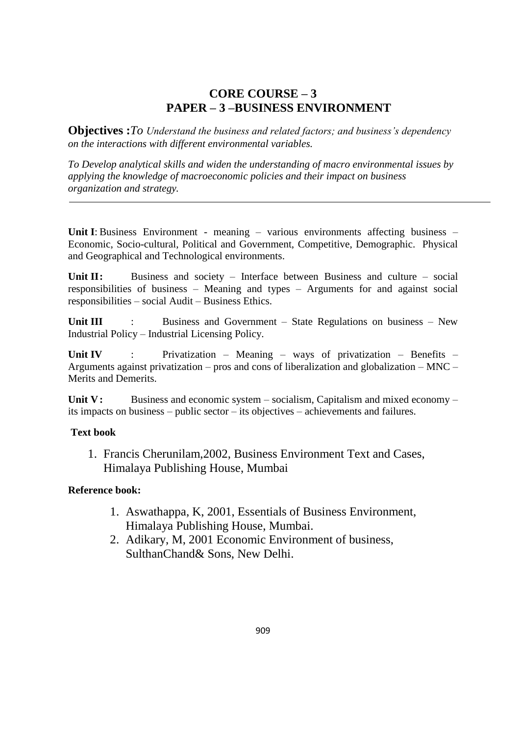## **CORE COURSE – 3 PAPER – 3 –BUSINESS ENVIRONMENT**

**Objectives :***To Understand the business and related factors; and business's dependency on the interactions with different environmental variables.* 

*To Develop analytical skills and widen the understanding of macro environmental issues by applying the knowledge of macroeconomic policies and their impact on business organization and strategy.* 

**Unit I**: Business Environment - meaning – various environments affecting business – Economic, Socio-cultural, Political and Government, Competitive, Demographic. Physical and Geographical and Technological environments.

Unit II: Business and society – Interface between Business and culture – social responsibilities of business – Meaning and types – Arguments for and against social responsibilities – social Audit – Business Ethics.

Unit III : Business and Government – State Regulations on business – New Industrial Policy – Industrial Licensing Policy.

Unit IV : Privatization – Meaning – ways of privatization – Benefits – Arguments against privatization – pros and cons of liberalization and globalization – MNC – Merits and Demerits.

Unit V: Business and economic system – socialism, Capitalism and mixed economy – its impacts on business – public sector – its objectives – achievements and failures.

## **Text book**

1. Francis Cherunilam,2002, Business Environment Text and Cases, Himalaya Publishing House, Mumbai

## **Reference book:**

- 1. Aswathappa, K, 2001, Essentials of Business Environment, Himalaya Publishing House, Mumbai.
- 2. Adikary, M, 2001 Economic Environment of business, SulthanChand& Sons, New Delhi.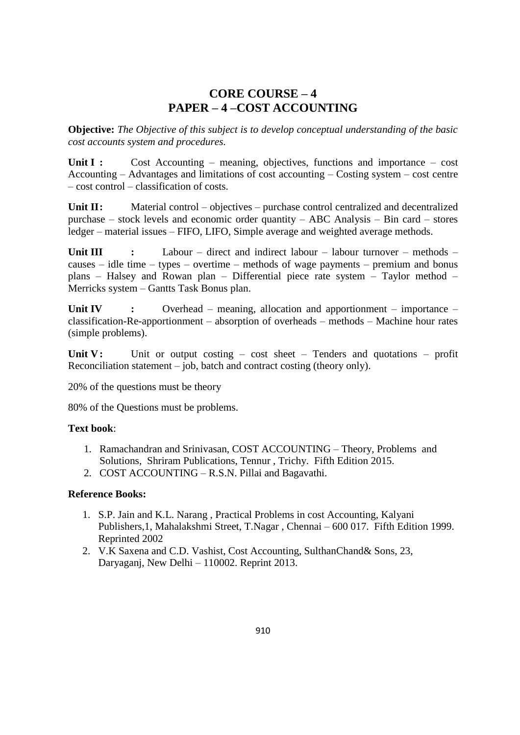## **CORE COURSE – 4 PAPER – 4 –COST ACCOUNTING**

**Objective:** *The Objective of this subject is to develop conceptual understanding of the basic cost accounts system and procedures.*

**Unit I :** Cost Accounting – meaning, objectives, functions and importance – cost Accounting – Advantages and limitations of cost accounting – Costing system – cost centre – cost control – classification of costs.

Unit II: Material control – objectives – purchase control centralized and decentralized purchase – stock levels and economic order quantity – ABC Analysis – Bin card – stores ledger – material issues – FIFO, LIFO, Simple average and weighted average methods.

**Unit III :** Labour – direct and indirect labour – labour turnover – methods – causes – idle time – types – overtime – methods of wage payments – premium and bonus plans – Halsey and Rowan plan – Differential piece rate system – Taylor method – Merricks system – Gantts Task Bonus plan.

**Unit IV :** Overhead – meaning, allocation and apportionment – importance – classification-Re-apportionment – absorption of overheads – methods – Machine hour rates (simple problems).

Unit V: Unit or output costing – cost sheet – Tenders and quotations – profit Reconciliation statement – job, batch and contract costing (theory only).

20% of the questions must be theory

80% of the Questions must be problems.

#### **Text book**:

- 1. Ramachandran and Srinivasan, COST ACCOUNTING Theory, Problems and Solutions, Shriram Publications, Tennur , Trichy. Fifth Edition 2015.
- 2. COST ACCOUNTING R.S.N. Pillai and Bagavathi.

#### **Reference Books:**

- 1. S.P. Jain and K.L. Narang , Practical Problems in cost Accounting, Kalyani Publishers,1, Mahalakshmi Street, T.Nagar , Chennai – 600 017. Fifth Edition 1999. Reprinted 2002
- 2. V.K Saxena and C.D. Vashist, Cost Accounting, SulthanChand& Sons, 23, Daryaganj, New Delhi – 110002. Reprint 2013.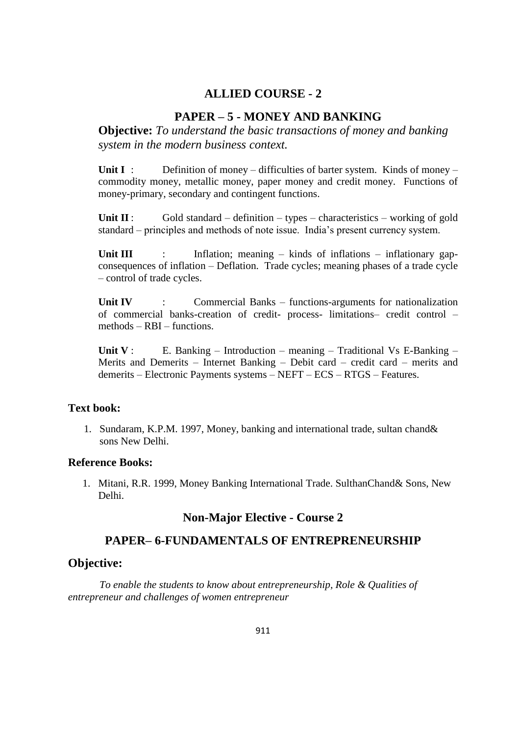## **ALLIED COURSE - 2**

## **PAPER – 5 - MONEY AND BANKING**

**Objective:** *To understand the basic transactions of money and banking system in the modern business context.*

Unit I : Definition of money – difficulties of barter system. Kinds of money – commodity money, metallic money, paper money and credit money. Functions of money-primary, secondary and contingent functions.

**Unit II** : Gold standard – definition – types – characteristics – working of gold standard – principles and methods of note issue. India's present currency system.

**Unit III** : Inflation; meaning – kinds of inflations – inflationary gapconsequences of inflation – Deflation. Trade cycles; meaning phases of a trade cycle – control of trade cycles.

**Unit IV** : Commercial Banks – functions-arguments for nationalization of commercial banks-creation of credit- process- limitations– credit control – methods – RBI – functions.

**Unit V** : E. Banking – Introduction – meaning – Traditional Vs E-Banking – Merits and Demerits – Internet Banking – Debit card – credit card – merits and demerits – Electronic Payments systems – NEFT – ECS – RTGS – Features.

## **Text book:**

1. Sundaram, K.P.M. 1997, Money, banking and international trade, sultan chand& sons New Delhi.

#### **Reference Books:**

1. Mitani, R.R. 1999, Money Banking International Trade. SulthanChand& Sons, New Delhi.

#### **Non-Major Elective - Course 2**

## **PAPER– 6-FUNDAMENTALS OF ENTREPRENEURSHIP**

#### **Objective:**

*To enable the students to know about entrepreneurship, Role & Qualities of entrepreneur and challenges of women entrepreneur*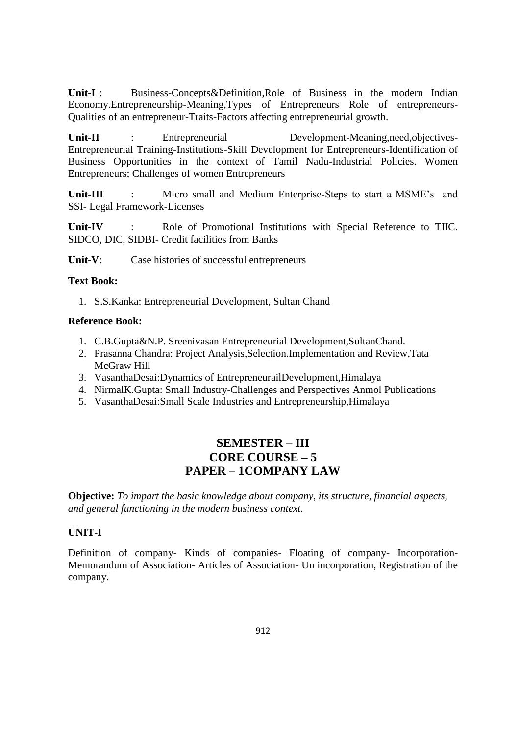**Unit-I** : Business-Concepts&Definition,Role of Business in the modern Indian Economy.Entrepreneurship-Meaning,Types of Entrepreneurs Role of entrepreneurs-Qualities of an entrepreneur-Traits-Factors affecting entrepreneurial growth.

**Unit-II** : Entrepreneurial Development-Meaning,need,objectives-Entrepreneurial Training-Institutions-Skill Development for Entrepreneurs-Identification of Business Opportunities in the context of Tamil Nadu-Industrial Policies. Women Entrepreneurs; Challenges of women Entrepreneurs

**Unit-III** : Micro small and Medium Enterprise-Steps to start a MSME's and SSI- Legal Framework-Licenses

Unit-IV : Role of Promotional Institutions with Special Reference to TIIC. SIDCO, DIC, SIDBI- Credit facilities from Banks

**Unit-V**: Case histories of successful entrepreneurs

#### **Text Book:**

1. S.S.Kanka: Entrepreneurial Development, Sultan Chand

#### **Reference Book:**

- 1. C.B.Gupta&N.P. Sreenivasan Entrepreneurial Development,SultanChand.
- 2. Prasanna Chandra: Project Analysis,Selection.Implementation and Review,Tata McGraw Hill
- 3. VasanthaDesai:Dynamics of EntrepreneurailDevelopment,Himalaya
- 4. NirmalK.Gupta: Small Industry-Challenges and Perspectives Anmol Publications
- 5. VasanthaDesai:Small Scale Industries and Entrepreneurship,Himalaya

## **SEMESTER – III CORE COURSE – 5 PAPER – 1COMPANY LAW**

**Objective:** *To impart the basic knowledge about company, its structure, financial aspects, and general functioning in the modern business context.*

#### **UNIT-I**

Definition of company- Kinds of companies- Floating of company- Incorporation-Memorandum of Association- Articles of Association- Un incorporation, Registration of the company.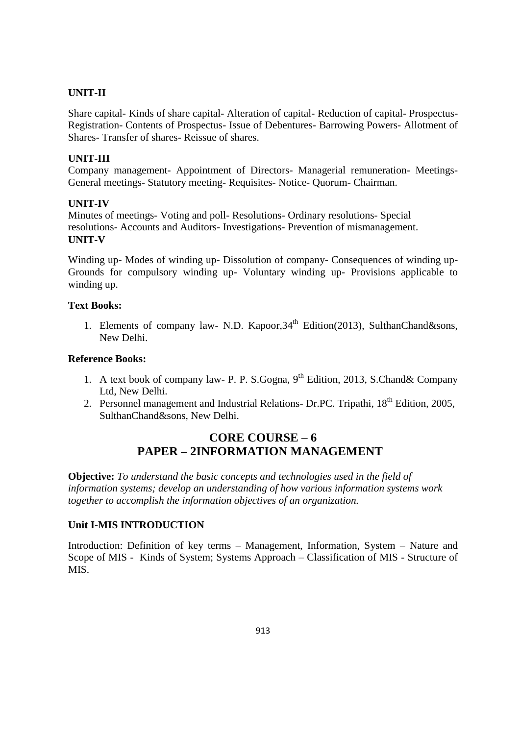#### **UNIT-II**

Share capital- Kinds of share capital- Alteration of capital- Reduction of capital- Prospectus-Registration- Contents of Prospectus- Issue of Debentures- Barrowing Powers- Allotment of Shares- Transfer of shares- Reissue of shares.

#### **UNIT-III**

Company management- Appointment of Directors- Managerial remuneration- Meetings-General meetings- Statutory meeting- Requisites- Notice- Quorum- Chairman.

#### **UNIT-IV**

Minutes of meetings- Voting and poll- Resolutions- Ordinary resolutions- Special resolutions- Accounts and Auditors- Investigations- Prevention of mismanagement. **UNIT-V**

Winding up- Modes of winding up- Dissolution of company- Consequences of winding up-Grounds for compulsory winding up- Voluntary winding up- Provisions applicable to winding up.

#### **Text Books:**

1. Elements of company law- N.D. Kapoor, 34<sup>th</sup> Edition(2013), SulthanChand&sons, New Delhi.

#### **Reference Books:**

- 1. A text book of company law- P. P. S. Gogna,  $9<sup>th</sup>$  Edition, 2013, S. Chand & Company Ltd, New Delhi.
- 2. Personnel management and Industrial Relations- Dr.PC. Tripathi, 18<sup>th</sup> Edition, 2005, SulthanChand&sons, New Delhi.

## **CORE COURSE – 6 PAPER – 2INFORMATION MANAGEMENT**

**Objective:** *To understand the basic concepts and technologies used in the field of information systems; develop an understanding of how various information systems work together to accomplish the information objectives of an organization.*

## **Unit I-MIS INTRODUCTION**

Introduction: Definition of key terms – Management, Information, System – Nature and Scope of MIS - Kinds of System; Systems Approach – Classification of MIS - Structure of MIS.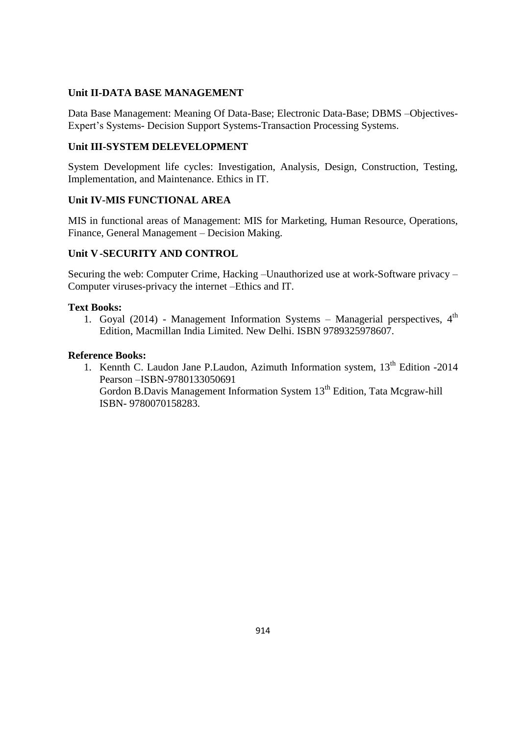## **Unit II-DATA BASE MANAGEMENT**

Data Base Management: Meaning Of Data-Base; Electronic Data-Base; DBMS –Objectives-Expert's Systems- Decision Support Systems-Transaction Processing Systems.

## **Unit III-SYSTEM DELEVELOPMENT**

System Development life cycles: Investigation, Analysis, Design, Construction, Testing, Implementation, and Maintenance. Ethics in IT.

#### **Unit IV-MIS FUNCTIONAL AREA**

MIS in functional areas of Management: MIS for Marketing, Human Resource, Operations, Finance, General Management – Decision Making.

## **Unit V-SECURITY AND CONTROL**

Securing the web: Computer Crime, Hacking –Unauthorized use at work-Software privacy – Computer viruses-privacy the internet –Ethics and IT.

#### **Text Books:**

1. Goyal (2014) - Management Information Systems - Managerial perspectives,  $4<sup>th</sup>$ Edition, Macmillan India Limited. New Delhi. ISBN 9789325978607.

#### **Reference Books:**

1. Kennth C. Laudon Jane P. Laudon, Azimuth Information system, 13<sup>th</sup> Edition -2014 Pearson –ISBN-9780133050691 Gordon B.Davis Management Information System 13<sup>th</sup> Edition, Tata Mcgraw-hill ISBN- 9780070158283.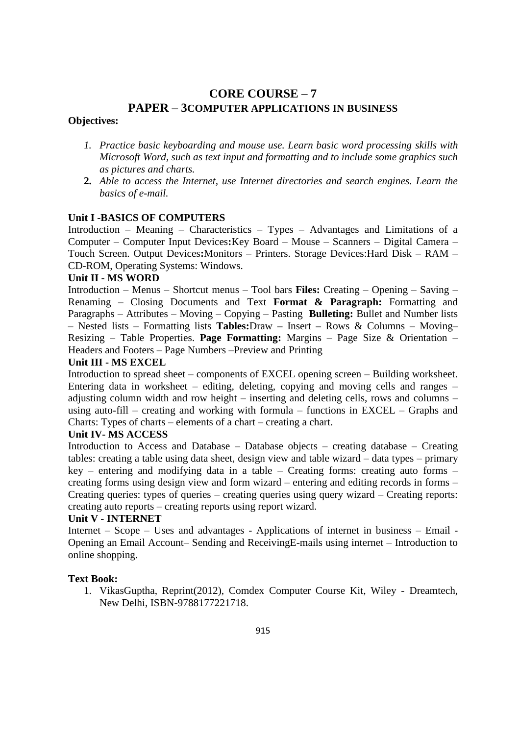# **CORE COURSE – 7 PAPER – 3COMPUTER APPLICATIONS IN BUSINESS**

## **Objectives:**

- *1. Practice basic keyboarding and mouse use. Learn basic word processing skills with Microsoft Word, such as text input and formatting and to include some graphics such as pictures and charts.*
- **2.** *Able to access the Internet, use Internet directories and search engines. Learn the basics of e-mail.*

#### **Unit I -BASICS OF COMPUTERS**

Introduction – Meaning – Characteristics – Types – Advantages and Limitations of a Computer – Computer Input Devices**:**Key Board – Mouse – Scanners – Digital Camera – Touch Screen. Output Devices**:**Monitors – Printers. Storage Devices:Hard Disk – RAM – CD-ROM, Operating Systems: Windows.

#### **Unit II - MS WORD**

Introduction – Menus – Shortcut menus – Tool bars **Files:** Creating – Opening – Saving – Renaming – Closing Documents and Text **Format & Paragraph:** Formatting and Paragraphs – Attributes – Moving – Copying – Pasting **Bulleting:** Bullet and Number lists – Nested lists – Formatting lists **Tables:**Draw **–** Insert **–** Rows & Columns – Moving– Resizing – Table Properties. **Page Formatting:** Margins – Page Size & Orientation – Headers and Footers – Page Numbers –Preview and Printing

#### **Unit III - MS EXCEL**

Introduction to spread sheet – components of EXCEL opening screen – Building worksheet. Entering data in worksheet – editing, deleting, copying and moving cells and ranges – adjusting column width and row height – inserting and deleting cells, rows and columns – using auto-fill – creating and working with formula – functions in EXCEL – Graphs and Charts: Types of charts – elements of a chart – creating a chart.

#### **Unit IV- MS ACCESS**

Introduction to Access and Database – Database objects – creating database – Creating tables: creating a table using data sheet, design view and table wizard – data types – primary key – entering and modifying data in a table – Creating forms: creating auto forms – creating forms using design view and form wizard – entering and editing records in forms – Creating queries: types of queries – creating queries using query wizard – Creating reports: creating auto reports – creating reports using report wizard.

#### **Unit V - INTERNET**

Internet – Scope – Uses and advantages - Applications of internet in business – Email - Opening an Email Account– Sending and ReceivingE-mails using internet – Introduction to online shopping.

#### **Text Book:**

1. VikasGuptha, Reprint(2012), Comdex Computer Course Kit, Wiley - Dreamtech, New Delhi, ISBN-9788177221718.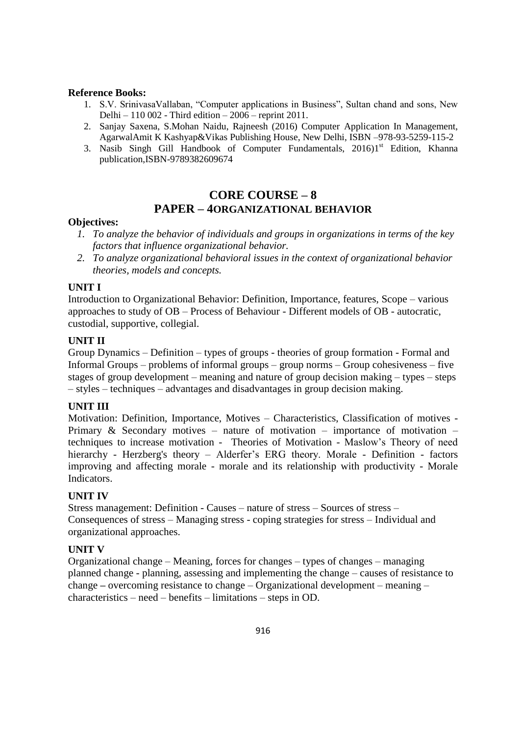#### **Reference Books:**

- 1. S.V. SrinivasaVallaban, "Computer applications in Business", Sultan chand and sons, New Delhi – 110 002 - Third edition – 2006 – reprint 2011.
- 2. Sanjay Saxena, S.Mohan Naidu, Rajneesh (2016) Computer Application In Management, AgarwalAmit K Kashyap&Vikas Publishing House, New Delhi, ISBN –978-93-5259-115-2
- 3. Nasib Singh Gill Handbook of Computer Fundamentals,  $20161$ <sup>st</sup> Edition, Khanna publication,ISBN-9789382609674

## **CORE COURSE – 8 PAPER – 4ORGANIZATIONAL BEHAVIOR**

#### **Objectives:**

- *1. To analyze the behavior of individuals and groups in organizations in terms of the key factors that influence organizational behavior.*
- *2. To analyze organizational behavioral issues in the context of organizational behavior theories, models and concepts.*

#### **UNIT I**

Introduction to Organizational Behavior: Definition, Importance, features, Scope – various approaches to study of OB – Process of Behaviour - Different models of OB - autocratic, custodial, supportive, collegial.

#### **UNIT II**

Group Dynamics – Definition – types of groups - theories of group formation - Formal and Informal Groups – problems of informal groups – group norms – Group cohesiveness – five stages of group development – meaning and nature of group decision making – types – steps – styles – techniques – advantages and disadvantages in group decision making.

#### **UNIT III**

Motivation: Definition, Importance, Motives – Characteristics, Classification of motives - Primary & Secondary motives – nature of motivation – importance of motivation – techniques to increase motivation - Theories of Motivation - Maslow's Theory of need hierarchy - Herzberg's theory – Alderfer's ERG theory. Morale - Definition - factors improving and affecting morale - morale and its relationship with productivity - Morale Indicators.

#### **UNIT IV**

Stress management: Definition - Causes – nature of stress – Sources of stress – Consequences of stress – Managing stress - coping strategies for stress – Individual and organizational approaches.

#### **UNIT V**

Organizational change – Meaning, forces for changes – types of changes – managing planned change - planning, assessing and implementing the change – causes of resistance to change **–** overcoming resistance to change – Organizational development – meaning – characteristics – need – benefits – limitations – steps in OD.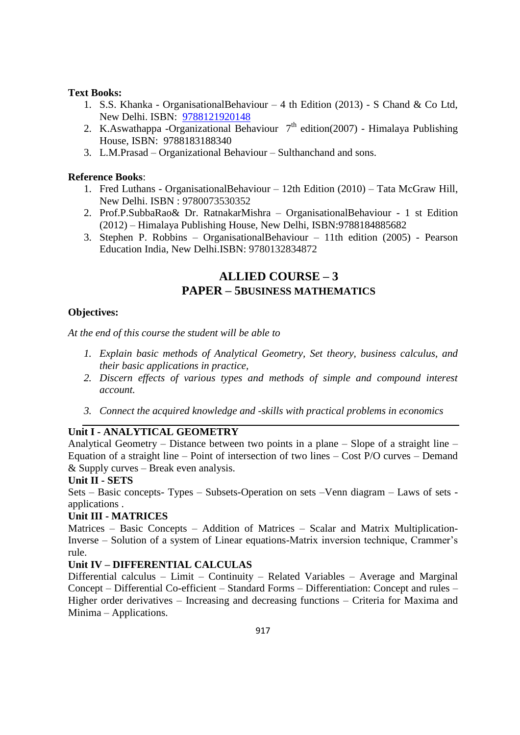## **Text Books:**

- 1. S.S. Khanka OrganisationalBehaviour 4 th Edition (2013) S Chand & Co Ltd, New Delhi. ISBN: [9788121920148](https://www.abebooks.com/products/isbn/9788121920148?cm_sp=bdp-_-9788121920148-_-isbn13)
- 2. K.Aswathappa -Organizational Behaviour  $7<sup>th</sup>$  edition(2007) Himalaya Publishing House, ISBN: 9788183188340
- 3. L.M.Prasad Organizational Behaviour Sulthanchand and sons.

#### **Reference Books**:

- 1. Fred Luthans OrganisationalBehaviour 12th Edition (2010) Tata McGraw Hill, New Delhi. ISBN : 9780073530352
- 2. Prof.P.SubbaRao& Dr. RatnakarMishra OrganisationalBehaviour 1 st Edition (2012) – Himalaya Publishing House, New Delhi, ISBN:9788184885682
- 3. Stephen P. Robbins OrganisationalBehaviour 11th edition (2005) Pearson Education India, New Delhi.ISBN: 9780132834872

## **ALLIED COURSE – 3 PAPER – 5BUSINESS MATHEMATICS**

#### **Objectives:**

*At the end of this course the student will be able to*

- *1. Explain basic methods of Analytical Geometry, Set theory, business calculus, and their basic applications in practice,*
- *2. Discern effects of various types and methods of simple and compound interest account.*
- *3. Connect the acquired knowledge and -skills with practical problems in economics*

## **Unit I - ANALYTICAL GEOMETRY**

Analytical Geometry – Distance between two points in a plane – Slope of a straight line – Equation of a straight line – Point of intersection of two lines – Cost P/O curves – Demand & Supply curves – Break even analysis.

#### **Unit II - SETS**

Sets – Basic concepts- Types – Subsets-Operation on sets –Venn diagram – Laws of sets applications .

#### **Unit III - MATRICES**

Matrices – Basic Concepts – Addition of Matrices – Scalar and Matrix Multiplication-Inverse – Solution of a system of Linear equations-Matrix inversion technique, Crammer's rule.

#### **Unit IV – DIFFERENTIAL CALCULAS**

Differential calculus – Limit – Continuity – Related Variables – Average and Marginal Concept – Differential Co-efficient – Standard Forms – Differentiation: Concept and rules – Higher order derivatives – Increasing and decreasing functions – Criteria for Maxima and Minima – Applications.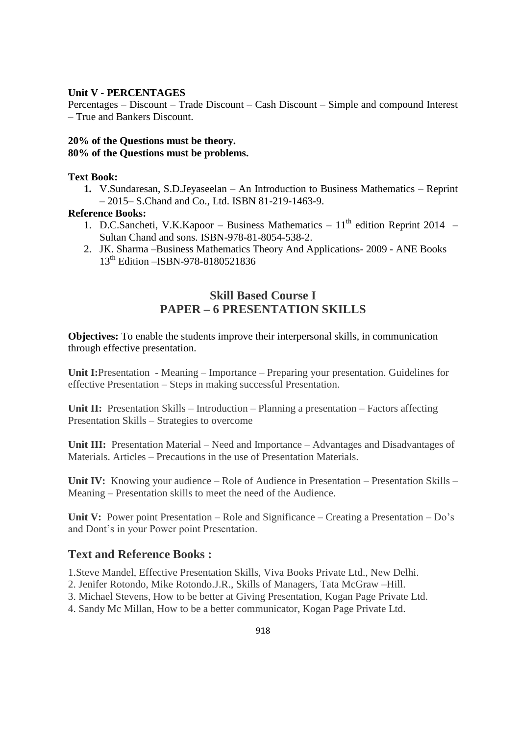#### **Unit V - PERCENTAGES**

Percentages – Discount – Trade Discount – Cash Discount – Simple and compound Interest – True and Bankers Discount.

#### **20% of the Questions must be theory. 80% of the Questions must be problems.**

#### **Text Book:**

**1.** V.Sundaresan, S.D.Jeyaseelan – An Introduction to Business Mathematics – Reprint – 2015– S.Chand and Co., Ltd. ISBN 81-219-1463-9.

#### **Reference Books:**

- 1. D.C.Sancheti, V.K.Kapoor Business Mathematics  $11<sup>th</sup>$  edition Reprint 2014 Sultan Chand and sons. ISBN-978-81-8054-538-2.
- 2. JK. Sharma –Business Mathematics Theory And Applications- 2009 ANE Books 13<sup>th</sup> Edition – ISBN-978-8180521836

## **Skill Based Course I PAPER – 6 PRESENTATION SKILLS**

**Objectives:** To enable the students improve their interpersonal skills, in communication through effective presentation.

**Unit I:**Presentation - Meaning – Importance – Preparing your presentation. Guidelines for effective Presentation – Steps in making successful Presentation.

**Unit II:** Presentation Skills – Introduction – Planning a presentation – Factors affecting Presentation Skills – Strategies to overcome

**Unit III:** Presentation Material – Need and Importance – Advantages and Disadvantages of Materials. Articles – Precautions in the use of Presentation Materials.

**Unit IV:** Knowing your audience – Role of Audience in Presentation – Presentation Skills – Meaning – Presentation skills to meet the need of the Audience.

**Unit V:** Power point Presentation – Role and Significance – Creating a Presentation – Do's and Dont's in your Power point Presentation.

#### **Text and Reference Books :**

1.Steve Mandel, Effective Presentation Skills, Viva Books Private Ltd., New Delhi.

2. Jenifer Rotondo, Mike Rotondo.J.R., Skills of Managers, Tata McGraw –Hill.

3. Michael Stevens, How to be better at Giving Presentation, Kogan Page Private Ltd.

4. Sandy Mc Millan, How to be a better communicator, Kogan Page Private Ltd.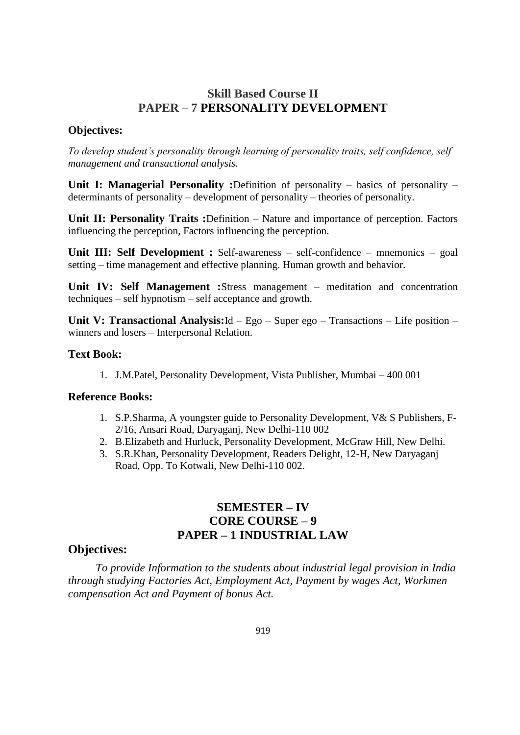## **Skill Based Course II PAPER – 7 PERSONALITY DEVELOPMENT**

#### **Objectives:**

*To develop student's personality through learning of personality traits, self confidence, self management and transactional analysis.*

**Unit I: Managerial Personality :**Definition of personality – basics of personality – determinants of personality – development of personality – theories of personality.

**Unit II: Personality Traits :**Definition – Nature and importance of perception. Factors influencing the perception, Factors influencing the perception.

**Unit III: Self Development :** Self-awareness – self-confidence – mnemonics – goal setting – time management and effective planning. Human growth and behavior.

**Unit IV: Self Management :**Stress management – meditation and concentration techniques – self hypnotism – self acceptance and growth.

**Unit V: Transactional Analysis:**Id – Ego – Super ego – Transactions – Life position – winners and losers – Interpersonal Relation.

#### **Text Book:**

1. J.M.Patel, Personality Development, Vista Publisher, Mumbai – 400 001

#### **Reference Books:**

- 1. S.P.Sharma, A youngster guide to Personality Development, V& S Publishers, F-2/16, Ansari Road, Daryaganj, New Delhi-110 002
- 2. B.Elizabeth and Hurluck, Personality Development, McGraw Hill, New Delhi.
- 3. S.R.Khan, Personality Development, Readers Delight, 12-H, New Daryaganj Road, Opp. To Kotwali, New Delhi-110 002.

## **SEMESTER – IV CORE COURSE – 9 PAPER – 1 INDUSTRIAL LAW**

## **Objectives:**

*To provide Information to the students about industrial legal provision in India through studying Factories Act, Employment Act, Payment by wages Act, Workmen compensation Act and Payment of bonus Act.*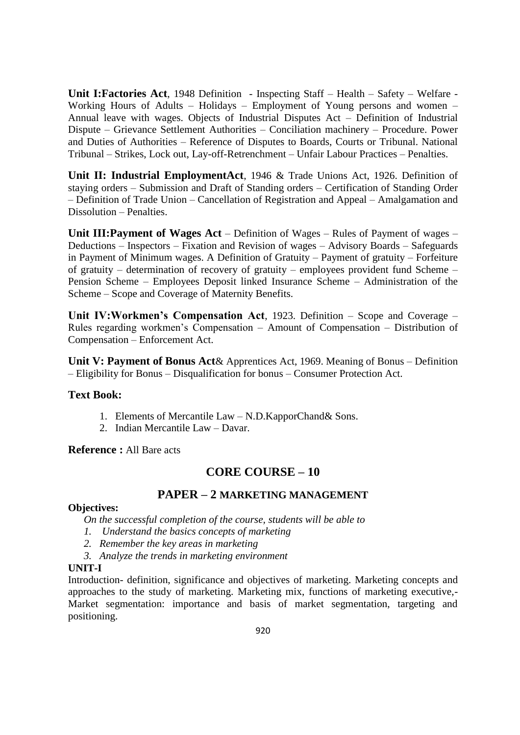**Unit I:Factories Act**, 1948 Definition - Inspecting Staff – Health – Safety – Welfare - Working Hours of Adults – Holidays – Employment of Young persons and women – Annual leave with wages. Objects of Industrial Disputes Act – Definition of Industrial Dispute – Grievance Settlement Authorities – Conciliation machinery – Procedure. Power and Duties of Authorities – Reference of Disputes to Boards, Courts or Tribunal. National Tribunal – Strikes, Lock out, Lay-off-Retrenchment – Unfair Labour Practices – Penalties.

**Unit II: Industrial EmploymentAct**, 1946 & Trade Unions Act, 1926. Definition of staying orders – Submission and Draft of Standing orders – Certification of Standing Order – Definition of Trade Union – Cancellation of Registration and Appeal – Amalgamation and Dissolution – Penalties.

**Unit III:Payment of Wages Act** – Definition of Wages – Rules of Payment of wages – Deductions – Inspectors – Fixation and Revision of wages – Advisory Boards – Safeguards in Payment of Minimum wages. A Definition of Gratuity – Payment of gratuity – Forfeiture of gratuity – determination of recovery of gratuity – employees provident fund Scheme – Pension Scheme – Employees Deposit linked Insurance Scheme – Administration of the Scheme – Scope and Coverage of Maternity Benefits.

**Unit IV:Workmen's Compensation Act**, 1923. Definition – Scope and Coverage – Rules regarding workmen's Compensation – Amount of Compensation – Distribution of Compensation – Enforcement Act.

**Unit V: Payment of Bonus Act**& Apprentices Act, 1969. Meaning of Bonus – Definition – Eligibility for Bonus – Disqualification for bonus – Consumer Protection Act.

#### **Text Book:**

- 1. Elements of Mercantile Law N.D.KapporChand& Sons.
- 2. Indian Mercantile Law Davar.

**Reference :** All Bare acts

## **CORE COURSE – 10**

#### **PAPER – 2 MARKETING MANAGEMENT**

#### **Objectives:**

*On the successful completion of the course, students will be able to*

- *1. Understand the basics concepts of marketing*
- *2. Remember the key areas in marketing*
- *3. Analyze the trends in marketing environment*

#### **UNIT-I**

Introduction- definition, significance and objectives of marketing. Marketing concepts and approaches to the study of marketing. Marketing mix, functions of marketing executive,- Market segmentation: importance and basis of market segmentation, targeting and positioning.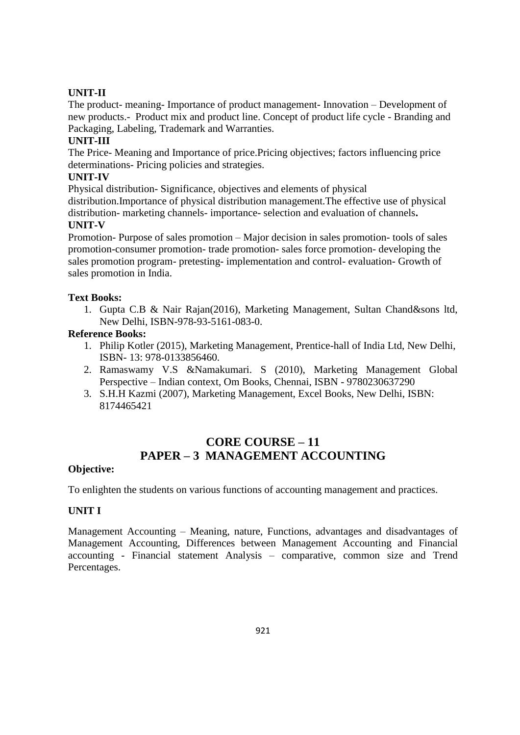## **UNIT-II**

The product- meaning- Importance of product management- Innovation – Development of new products.- Product mix and product line. Concept of product life cycle - Branding and Packaging, Labeling, Trademark and Warranties.

## **UNIT-III**

The Price- Meaning and Importance of price.Pricing objectives; factors influencing price determinations- Pricing policies and strategies.

#### **UNIT-IV**

Physical distribution- Significance, objectives and elements of physical

distribution.Importance of physical distribution management.The effective use of physical distribution- marketing channels- importance- selection and evaluation of channels**.**

## **UNIT-V**

Promotion- Purpose of sales promotion – Major decision in sales promotion- tools of sales promotion-consumer promotion- trade promotion- sales force promotion- developing the sales promotion program- pretesting- implementation and control- evaluation- Growth of sales promotion in India.

#### **Text Books:**

1. Gupta C.B & Nair Rajan(2016), Marketing Management, Sultan Chand&sons ltd, New Delhi, ISBN-978-93-5161-083-0.

#### **Reference Books:**

- 1. Philip Kotler (2015), Marketing Management, Prentice-hall of India Ltd, New Delhi, ISBN- 13: 978-0133856460.
- 2. Ramaswamy V.S &Namakumari. S (2010), Marketing Management Global Perspective – Indian context, Om Books, Chennai, ISBN - 9780230637290
- 3. S.H.H Kazmi (2007), Marketing Management, Excel Books, New Delhi, ISBN: 8174465421

# **CORE COURSE – 11 PAPER – 3 MANAGEMENT ACCOUNTING**

#### **Objective:**

To enlighten the students on various functions of accounting management and practices.

## **UNIT I**

Management Accounting – Meaning, nature, Functions, advantages and disadvantages of Management Accounting, Differences between Management Accounting and Financial accounting - Financial statement Analysis – comparative, common size and Trend Percentages.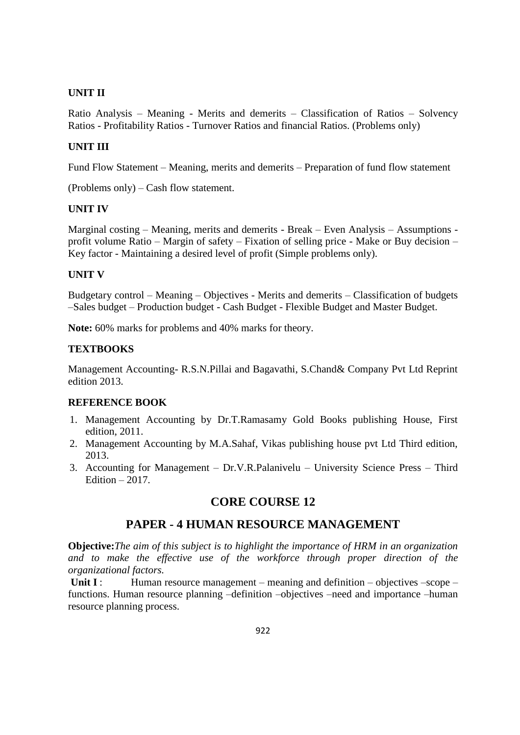#### **UNIT II**

Ratio Analysis – Meaning - Merits and demerits – Classification of Ratios – Solvency Ratios - Profitability Ratios - Turnover Ratios and financial Ratios. (Problems only)

#### **UNIT III**

Fund Flow Statement – Meaning, merits and demerits – Preparation of fund flow statement

(Problems only) – Cash flow statement.

#### **UNIT IV**

Marginal costing – Meaning, merits and demerits - Break – Even Analysis – Assumptions profit volume Ratio – Margin of safety – Fixation of selling price - Make or Buy decision – Key factor - Maintaining a desired level of profit (Simple problems only).

#### **UNIT V**

Budgetary control – Meaning – Objectives - Merits and demerits – Classification of budgets –Sales budget – Production budget - Cash Budget - Flexible Budget and Master Budget.

**Note:** 60% marks for problems and 40% marks for theory.

#### **TEXTBOOKS**

Management Accounting- R.S.N.Pillai and Bagavathi, S.Chand& Company Pvt Ltd Reprint edition 2013.

#### **REFERENCE BOOK**

- 1. Management Accounting by Dr.T.Ramasamy Gold Books publishing House, First edition, 2011.
- 2. Management Accounting by M.A.Sahaf, Vikas publishing house pvt Ltd Third edition, 2013.
- 3. Accounting for Management Dr.V.R.Palanivelu University Science Press Third Edition  $-2017$ .

## **CORE COURSE 12**

## **PAPER - 4 HUMAN RESOURCE MANAGEMENT**

**Objective:***The aim of this subject is to highlight the importance of HRM in an organization*  and to make the effective use of the workforce through proper direction of the *organizational factors.*

**Unit I** : Human resource management – meaning and definition – objectives –scope – functions. Human resource planning –definition –objectives –need and importance –human resource planning process.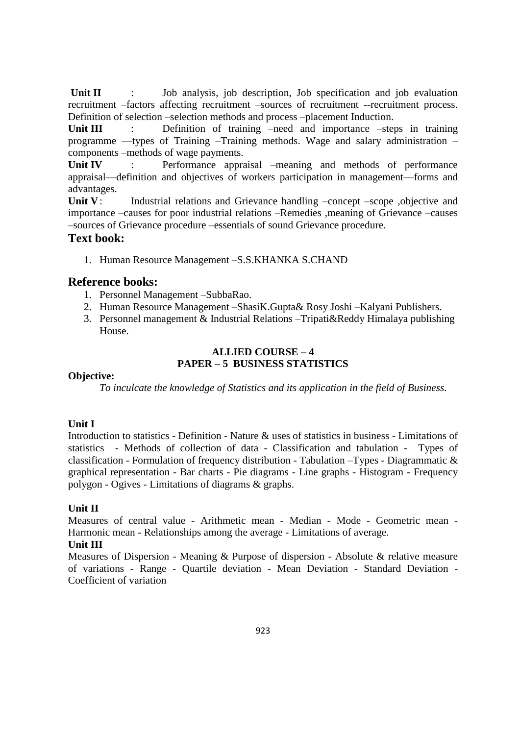Unit II : Job analysis, job description, Job specification and job evaluation recruitment –factors affecting recruitment –sources of recruitment --recruitment process. Definition of selection –selection methods and process –placement Induction.

Unit III : Definition of training –need and importance –steps in training programme —types of Training –Training methods. Wage and salary administration – components –methods of wage payments.

Unit IV : Performance appraisal –meaning and methods of performance appraisal—definition and objectives of workers participation in management—forms and advantages.

Unit V: Industrial relations and Grievance handling –concept –scope ,objective and importance –causes for poor industrial relations –Remedies ,meaning of Grievance –causes –sources of Grievance procedure –essentials of sound Grievance procedure.

## **Text book:**

1. Human Resource Management –S.S.KHANKA S.CHAND

#### **Reference books:**

- 1. Personnel Management –SubbaRao.
- 2. Human Resource Management –ShasiK.Gupta& Rosy Joshi –Kalyani Publishers.
- 3. Personnel management & Industrial Relations –Tripati&Reddy Himalaya publishing House.

#### **ALLIED COURSE – 4 PAPER – 5 BUSINESS STATISTICS**

#### **Objective:**

*To inculcate the knowledge of Statistics and its application in the field of Business.*

#### **Unit I**

Introduction to statistics - Definition - Nature & uses of statistics in business - Limitations of statistics - Methods of collection of data - Classification and tabulation - Types of classification - Formulation of frequency distribution - Tabulation –Types - Diagrammatic & graphical representation - Bar charts - Pie diagrams - Line graphs - Histogram - Frequency polygon - Ogives - Limitations of diagrams & graphs.

#### **Unit II**

Measures of central value - Arithmetic mean - Median - Mode - Geometric mean - Harmonic mean - Relationships among the average - Limitations of average.

#### **Unit III**

Measures of Dispersion - Meaning & Purpose of dispersion - Absolute & relative measure of variations - Range - Quartile deviation - Mean Deviation - Standard Deviation - Coefficient of variation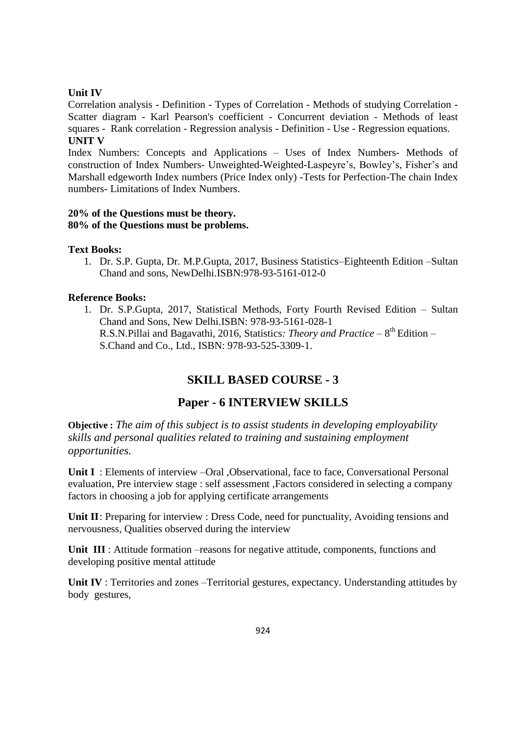#### **Unit IV**

Correlation analysis - Definition - Types of Correlation - Methods of studying Correlation - Scatter diagram - Karl Pearson's coefficient - Concurrent deviation - Methods of least squares - Rank correlation - Regression analysis - Definition - Use - Regression equations. **UNIT V**

Index Numbers: Concepts and Applications – Uses of Index Numbers- Methods of construction of Index Numbers- Unweighted-Weighted-Laspeyre's, Bowley's, Fisher's and Marshall edgeworth Index numbers (Price Index only) -Tests for Perfection-The chain Index numbers- Limitations of Index Numbers.

#### **20% of the Questions must be theory. 80% of the Questions must be problems.**

#### **Text Books:**

1. Dr. S.P. Gupta, Dr. M.P.Gupta, 2017, Business Statistics–Eighteenth Edition –Sultan Chand and sons, NewDelhi.ISBN:978-93-5161-012-0

#### **Reference Books:**

1. Dr. S.P.Gupta, 2017, Statistical Methods, Forty Fourth Revised Edition – Sultan Chand and Sons, New Delhi.ISBN: 978-93-5161-028-1 R.S.N.Pillai and Bagavathi, 2016, Statistics: *Theory and Practice* – 8<sup>th</sup> Edition – S.Chand and Co., Ltd., ISBN: 978-93-525-3309-1.

## **SKILL BASED COURSE - 3**

## **Paper - 6 INTERVIEW SKILLS**

**Objective :** *The aim of this subject is to assist students in developing employability skills and personal qualities related to training and sustaining employment opportunities.*

Unit I: Elements of interview –Oral ,Observational, face to face, Conversational Personal evaluation, Pre interview stage : self assessment ,Factors considered in selecting a company factors in choosing a job for applying certificate arrangements

Unit II: Preparing for interview : Dress Code, need for punctuality, Avoiding tensions and nervousness, Qualities observed during the interview

Unit III: Attitude formation –reasons for negative attitude, components, functions and developing positive mental attitude

**Unit IV** : Territories and zones –Territorial gestures, expectancy. Understanding attitudes by body gestures,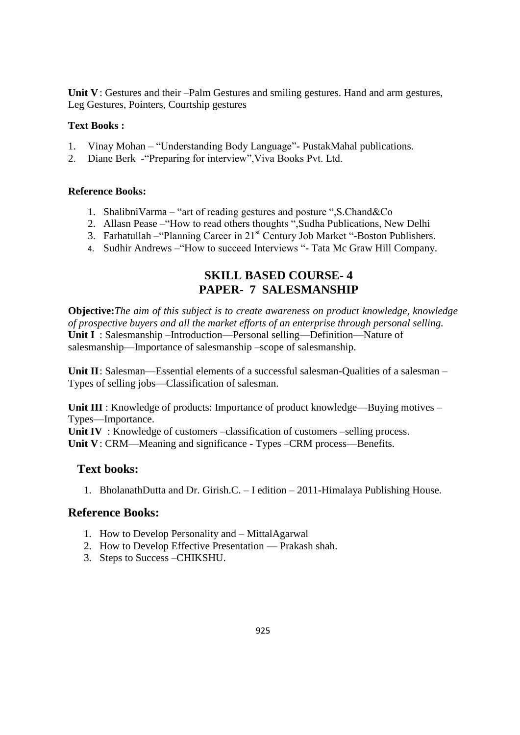**Unit V**: Gestures and their –Palm Gestures and smiling gestures. Hand and arm gestures, Leg Gestures, Pointers, Courtship gestures

#### **Text Books :**

- 1. Vinay Mohan "Understanding Body Language" PustakMahal publications.
- 2. Diane Berk "Preparing for interview", Viva Books Pvt. Ltd.

#### **Reference Books:**

- 1. ShalibniVarma "art of reading gestures and posture ", S. Chand  $\&$  Co
- 2. Allasn Pease "How to read others thoughts ", Sudha Publications, New Delhi
- 3. Farhatullah "Planning Career in  $21<sup>st</sup>$  Century Job Market "-Boston Publishers.
- 4. Sudhir Andrews "How to succeed Interviews "- Tata Mc Graw Hill Company.

## **SKILL BASED COURSE- 4 PAPER- 7 SALESMANSHIP**

**Objective:***The aim of this subject is to create awareness on product knowledge, knowledge of prospective buyers and all the market efforts of an enterprise through personal selling.* **Unit I** : Salesmanship –Introduction—Personal selling—Definition—Nature of salesmanship—Importance of salesmanship –scope of salesmanship.

**Unit II**: Salesman—Essential elements of a successful salesman-Qualities of a salesman – Types of selling jobs—Classification of salesman.

**Unit III** : Knowledge of products: Importance of product knowledge—Buying motives – Types—Importance.

**Unit IV** : Knowledge of customers –classification of customers –selling process. **Unit V**: CRM—Meaning and significance - Types –CRM process—Benefits.

## **Text books:**

1. BholanathDutta and Dr. Girish.C. – I edition – 2011-Himalaya Publishing House.

## **Reference Books:**

- 1. How to Develop Personality and MittalAgarwal
- 2. How to Develop Effective Presentation Prakash shah.
- 3. Steps to Success –CHIKSHU.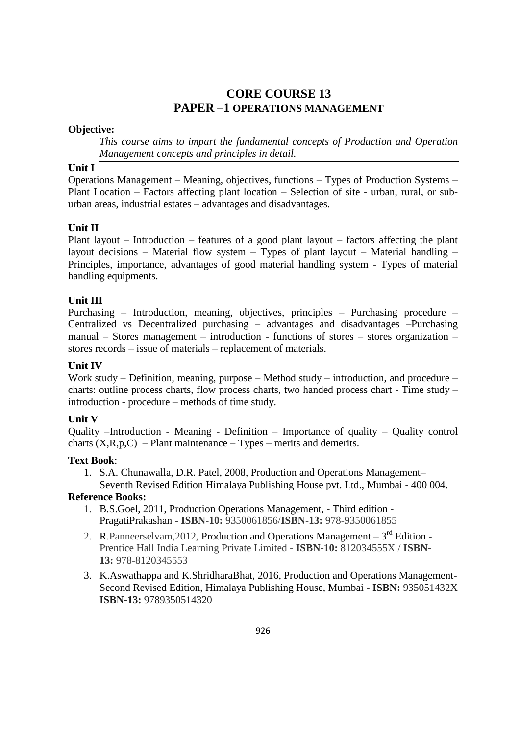## **CORE COURSE 13 PAPER –1 OPERATIONS MANAGEMENT**

## **Objective:**

*This course aims to impart the fundamental concepts of Production and Operation Management concepts and principles in detail.*

#### **Unit I**

Operations Management – Meaning, objectives, functions – Types of Production Systems – Plant Location – Factors affecting plant location – Selection of site - urban, rural, or suburban areas, industrial estates – advantages and disadvantages.

## **Unit II**

Plant layout – Introduction – features of a good plant layout – factors affecting the plant layout decisions – Material flow system – Types of plant layout – Material handling – Principles, importance, advantages of good material handling system - Types of material handling equipments.

#### **Unit III**

Purchasing – Introduction, meaning, objectives, principles – Purchasing procedure – Centralized vs Decentralized purchasing – advantages and disadvantages –Purchasing manual – Stores management – introduction - functions of stores – stores organization – stores records – issue of materials – replacement of materials.

#### **Unit IV**

Work study – Definition, meaning, purpose – Method study – introduction, and procedure – charts: outline process charts, flow process charts, two handed process chart - Time study – introduction - procedure – methods of time study.

#### **Unit V**

Quality –Introduction - Meaning - Definition – Importance of quality – Quality control charts  $(X,R,p,C)$  – Plant maintenance – Types – merits and demerits.

#### **Text Book**:

1. S.A. Chunawalla, D.R. Patel, 2008, Production and Operations Management– Seventh Revised Edition Himalaya Publishing House pvt. Ltd., Mumbai - 400 004.

#### **Reference Books:**

- 1. B.S.Goel, 2011, Production Operations Management, Third edition PragatiPrakashan - **ISBN-10:** 9350061856/**ISBN-13:** 978-9350061855
- 2. R. Panneerselvam, 2012, Production and Operations Management  $-3<sup>rd</sup>$  Edition -Prentice Hall India Learning Private Limited - **ISBN-10:** 812034555X / **ISBN-13:** 978-8120345553
- 3. K.Aswathappa and K.ShridharaBhat, 2016, Production and Operations Management-Second Revised Edition, Himalaya Publishing House, Mumbai - **ISBN:** 935051432X **ISBN-13:** 9789350514320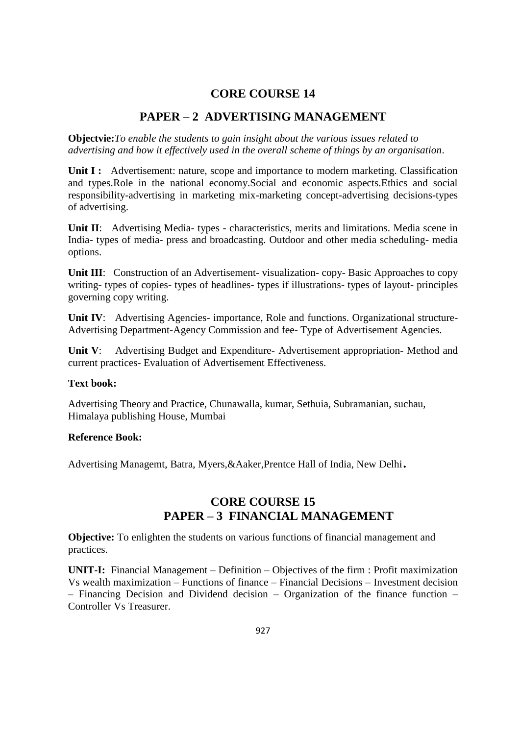## **CORE COURSE 14**

## **PAPER – 2 ADVERTISING MANAGEMENT**

**Objectvie:***To enable the students to gain insight about the various issues related to advertising and how it effectively used in the overall scheme of things by an organisation*.

**Unit I :** Advertisement: nature, scope and importance to modern marketing. Classification and types.Role in the national economy.Social and economic aspects.Ethics and social responsibility-advertising in marketing mix-marketing concept-advertising decisions-types of advertising.

**Unit II**: Advertising Media- types - characteristics, merits and limitations. Media scene in India- types of media- press and broadcasting. Outdoor and other media scheduling- media options.

**Unit III:** Construction of an Advertisement- visualization- copy- Basic Approaches to copy writing- types of copies- types of headlines- types if illustrations- types of layout- principles governing copy writing.

**Unit IV:** Advertising Agencies- importance, Role and functions. Organizational structure-Advertising Department-Agency Commission and fee- Type of Advertisement Agencies.

**Unit V**: Advertising Budget and Expenditure- Advertisement appropriation- Method and current practices- Evaluation of Advertisement Effectiveness.

#### **Text book:**

Advertising Theory and Practice, Chunawalla, kumar, Sethuia, Subramanian, suchau, Himalaya publishing House, Mumbai

#### **Reference Book:**

Advertising Managemt, Batra, Myers,&Aaker,Prentce Hall of India, New Delhi.

## **CORE COURSE 15 PAPER – 3 FINANCIAL MANAGEMENT**

**Objective:** To enlighten the students on various functions of financial management and practices.

**UNIT-I:** Financial Management – Definition – Objectives of the firm : Profit maximization Vs wealth maximization – Functions of finance – Financial Decisions – Investment decision – Financing Decision and Dividend decision – Organization of the finance function – Controller Vs Treasurer.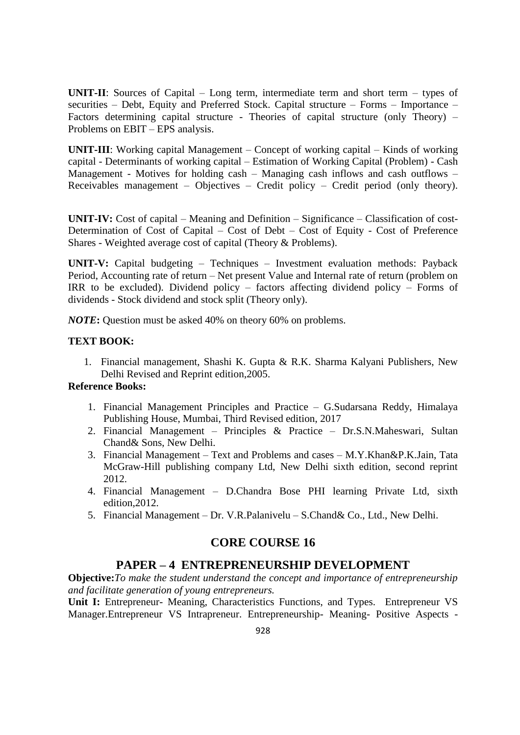**UNIT-II**: Sources of Capital – Long term, intermediate term and short term – types of securities – Debt, Equity and Preferred Stock. Capital structure – Forms – Importance – Factors determining capital structure - Theories of capital structure (only Theory) – Problems on EBIT – EPS analysis.

**UNIT-III**: Working capital Management – Concept of working capital – Kinds of working capital - Determinants of working capital – Estimation of Working Capital (Problem) - Cash Management - Motives for holding cash – Managing cash inflows and cash outflows – Receivables management – Objectives – Credit policy – Credit period (only theory).

**UNIT-IV:** Cost of capital – Meaning and Definition – Significance – Classification of cost-Determination of Cost of Capital – Cost of Debt – Cost of Equity - Cost of Preference Shares - Weighted average cost of capital (Theory & Problems).

**UNIT-V:** Capital budgeting – Techniques – Investment evaluation methods: Payback Period, Accounting rate of return – Net present Value and Internal rate of return (problem on IRR to be excluded). Dividend policy – factors affecting dividend policy – Forms of dividends - Stock dividend and stock split (Theory only).

*NOTE***:** Question must be asked 40% on theory 60% on problems.

#### **TEXT BOOK:**

1. Financial management, Shashi K. Gupta & R.K. Sharma Kalyani Publishers, New Delhi Revised and Reprint edition,2005.

#### **Reference Books:**

- 1. Financial Management Principles and Practice G.Sudarsana Reddy, Himalaya Publishing House, Mumbai, Third Revised edition, 2017
- 2. Financial Management Principles & Practice Dr.S.N.Maheswari, Sultan Chand& Sons, New Delhi.
- 3. Financial Management Text and Problems and cases M.Y.Khan&P.K.Jain, Tata McGraw-Hill publishing company Ltd, New Delhi sixth edition, second reprint 2012.
- 4. Financial Management D.Chandra Bose PHI learning Private Ltd, sixth edition,2012.
- 5. Financial Management Dr. V.R.Palanivelu S.Chand& Co., Ltd., New Delhi.

## **CORE COURSE 16**

#### **PAPER – 4 ENTREPRENEURSHIP DEVELOPMENT**

**Objective:***To make the student understand the concept and importance of entrepreneurship and facilitate generation of young entrepreneurs.*

**Unit I:** Entrepreneur- Meaning, Characteristics Functions, and Types. Entrepreneur VS Manager.Entrepreneur VS Intrapreneur. Entrepreneurship- Meaning- Positive Aspects -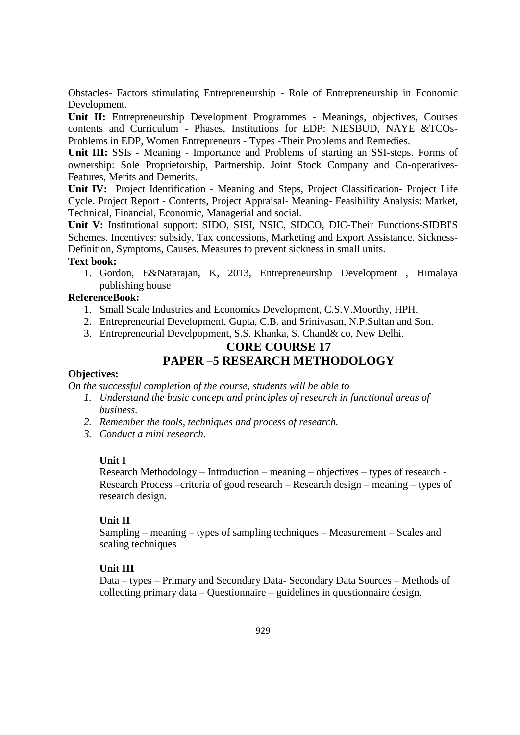Obstacles- Factors stimulating Entrepreneurship - Role of Entrepreneurship in Economic Development.

**Unit II:** Entrepreneurship Development Programmes - Meanings, objectives, Courses contents and Curriculum - Phases, Institutions for EDP: NIESBUD, NAYE &TCOs-Problems in EDP, Women Entrepreneurs - Types -Their Problems and Remedies.

**Unit III:** SSIs - Meaning - Importance and Problems of starting an SSI-steps. Forms of ownership: Sole Proprietorship, Partnership. Joint Stock Company and Co-operatives-Features, Merits and Demerits.

**Unit IV:** Project Identification - Meaning and Steps, Project Classification- Project Life Cycle. Project Report - Contents, Project Appraisal- Meaning- Feasibility Analysis: Market, Technical, Financial, Economic, Managerial and social.

**Unit V:** Institutional support: SIDO, SISI, NSIC, SIDCO, DIC-Their Functions-SIDBI'S Schemes. Incentives: subsidy, Tax concessions, Marketing and Export Assistance. Sickness-Definition, Symptoms, Causes. Measures to prevent sickness in small units.

#### **Text book:**

1. Gordon, E&Natarajan, K, 2013, Entrepreneurship Development , Himalaya publishing house

#### **ReferenceBook:**

- 1. Small Scale Industries and Economics Development, C.S.V.Moorthy, HPH.
- 2. Entrepreneurial Development, Gupta, C.B. and Srinivasan, N.P.Sultan and Son.
- 3. Entrepreneurial Develpopment, S.S. Khanka, S. Chand& co, New Delhi.

## **CORE COURSE 17 PAPER –5 RESEARCH METHODOLOGY**

#### **Objectives:**

*On the successful completion of the course, students will be able to*

- *1. Understand the basic concept and principles of research in functional areas of business.*
- *2. Remember the tools, techniques and process of research.*
- *3. Conduct a mini research.*

#### **Unit I**

Research Methodology – Introduction – meaning – objectives – types of research - Research Process –criteria of good research – Research design – meaning – types of research design.

#### **Unit II**

Sampling – meaning – types of sampling techniques – Measurement – Scales and scaling techniques

#### **Unit III**

Data – types – Primary and Secondary Data- Secondary Data Sources – Methods of collecting primary data – Questionnaire – guidelines in questionnaire design.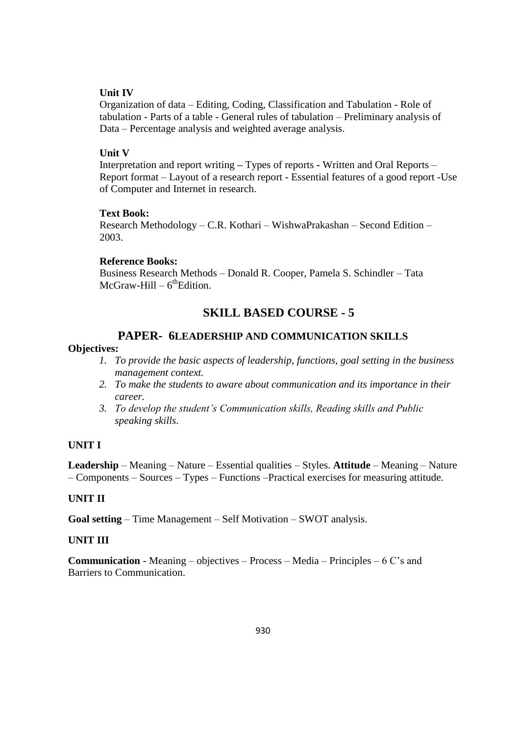#### **Unit IV**

Organization of data – Editing, Coding, Classification and Tabulation - Role of tabulation - Parts of a table - General rules of tabulation – Preliminary analysis of Data – Percentage analysis and weighted average analysis.

#### **Unit V**

Interpretation and report writing **–** Types of reports **-** Written and Oral Reports – Report format – Layout of a research report - Essential features of a good report -Use of Computer and Internet in research.

#### **Text Book:**

Research Methodology – C.R. Kothari – WishwaPrakashan – Second Edition – 2003.

#### **Reference Books:**

Business Research Methods – Donald R. Cooper, Pamela S. Schindler – Tata McGraw-Hill – 6<sup>th</sup>Edition.

## **SKILL BASED COURSE - 5**

## **PAPER- 6LEADERSHIP AND COMMUNICATION SKILLS**

#### **Objectives:**

- *1. To provide the basic aspects of leadership, functions, goal setting in the business management context.*
- *2. To make the students to aware about communication and its importance in their career.*
- *3. To develop the student's Communication skills, Reading skills and Public speaking skills.*

#### **UNIT I**

**Leadership** – Meaning – Nature – Essential qualities – Styles. **Attitude** – Meaning – Nature – Components – Sources – Types – Functions –Practical exercises for measuring attitude.

#### **UNIT II**

**Goal setting** – Time Management – Self Motivation – SWOT analysis.

#### **UNIT III**

**Communication** - Meaning – objectives – Process – Media – Principles – 6 C's and Barriers to Communication.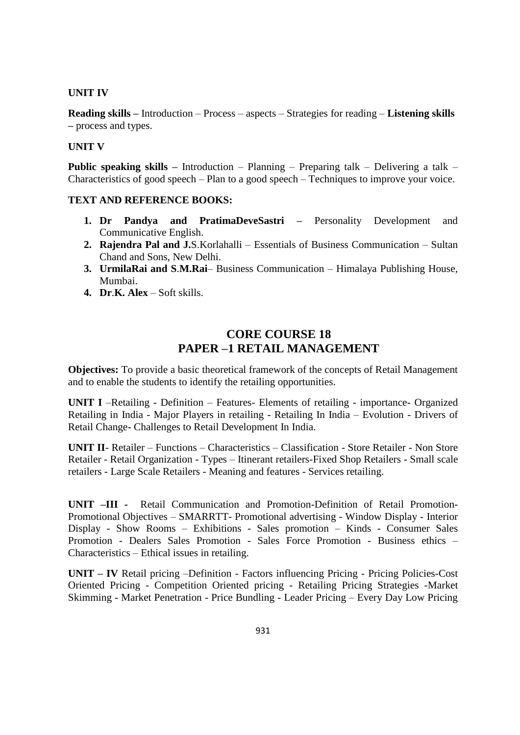#### **UNIT IV**

**Reading skills –** Introduction – Process – aspects – Strategies for reading – **Listening skills –** process and types.

#### **UNIT V**

**Public speaking skills –** Introduction – Planning – Preparing talk – Delivering a talk – Characteristics of good speech – Plan to a good speech – Techniques to improve your voice.

#### **TEXT AND REFERENCE BOOKS:**

- **1. Dr Pandya and PratimaDeveSastri –** Personality Development and Communicative English.
- **2. Rajendra Pal and J.**S.Korlahalli Essentials of Business Communication Sultan Chand and Sons, New Delhi.
- **3. UrmilaRai and S**.**M.Rai** Business Communication Himalaya Publishing House, Mumbai.
- **4. Dr**.**K. Alex** Soft skills.

## **CORE COURSE 18 PAPER –1 RETAIL MANAGEMENT**

**Objectives:** To provide a basic theoretical framework of the concepts of Retail Management and to enable the students to identify the retailing opportunities.

**UNIT I** –Retailing - Definition – Features- Elements of retailing - importance- Organized Retailing in India - Major Players in retailing - Retailing In India – Evolution - Drivers of Retail Change- Challenges to Retail Development In India.

**UNIT II**- Retailer – Functions – Characteristics – Classification - Store Retailer - Non Store Retailer - Retail Organization - Types – Itinerant retailers-Fixed Shop Retailers - Small scale retailers - Large Scale Retailers - Meaning and features - Services retailing.

**UNIT –III -** Retail Communication and Promotion-Definition of Retail Promotion-Promotional Objectives – SMARRTT- Promotional advertising - Window Display - Interior Display - Show Rooms – Exhibitions - Sales promotion – Kinds - Consumer Sales Promotion - Dealers Sales Promotion - Sales Force Promotion - Business ethics – Characteristics – Ethical issues in retailing.

**UNIT – IV** Retail pricing –Definition - Factors influencing Pricing - Pricing Policies-Cost Oriented Pricing - Competition Oriented pricing - Retailing Pricing Strategies -Market Skimming - Market Penetration - Price Bundling - Leader Pricing – Every Day Low Pricing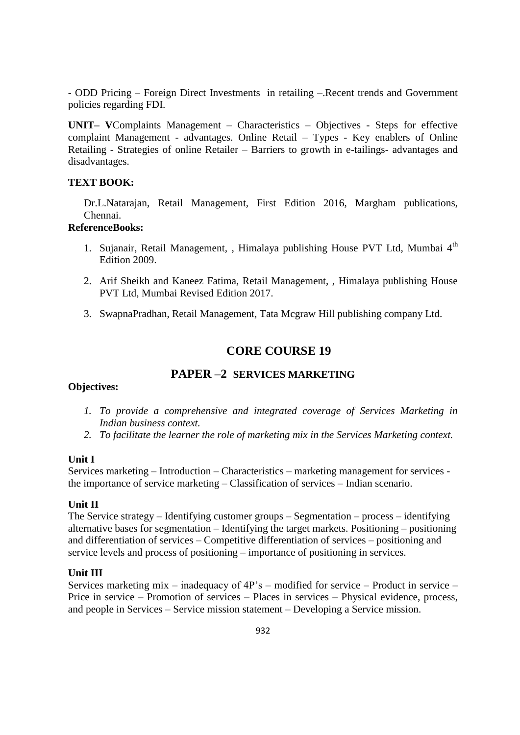- ODD Pricing – Foreign Direct Investments in retailing –.Recent trends and Government policies regarding FDI.

**UNIT– V**Complaints Management – Characteristics – Objectives - Steps for effective complaint Management - advantages. Online Retail – Types - Key enablers of Online Retailing - Strategies of online Retailer – Barriers to growth in e-tailings- advantages and disadvantages.

#### **TEXT BOOK:**

Dr.L.Natarajan, Retail Management, First Edition 2016, Margham publications, Chennai.

#### **ReferenceBooks:**

- 1. Sujanair, Retail Management, , Himalaya publishing House PVT Ltd, Mumbai 4<sup>th</sup> Edition 2009.
- 2. Arif Sheikh and Kaneez Fatima, Retail Management, , Himalaya publishing House PVT Ltd, Mumbai Revised Edition 2017.
- 3. SwapnaPradhan, Retail Management, Tata Mcgraw Hill publishing company Ltd.

## **CORE COURSE 19**

#### **PAPER –2 SERVICES MARKETING**

#### **Objectives:**

- *1. To provide a comprehensive and integrated coverage of Services Marketing in Indian business context.*
- *2. To facilitate the learner the role of marketing mix in the Services Marketing context.*

#### **Unit I**

Services marketing – Introduction – Characteristics – marketing management for services the importance of service marketing – Classification of services – Indian scenario.

#### **Unit II**

The Service strategy – Identifying customer groups – Segmentation – process – identifying alternative bases for segmentation – Identifying the target markets. Positioning – positioning and differentiation of services – Competitive differentiation of services – positioning and service levels and process of positioning – importance of positioning in services.

#### **Unit III**

Services marketing mix – inadequacy of 4P's – modified for service – Product in service – Price in service – Promotion of services – Places in services – Physical evidence, process, and people in Services – Service mission statement – Developing a Service mission.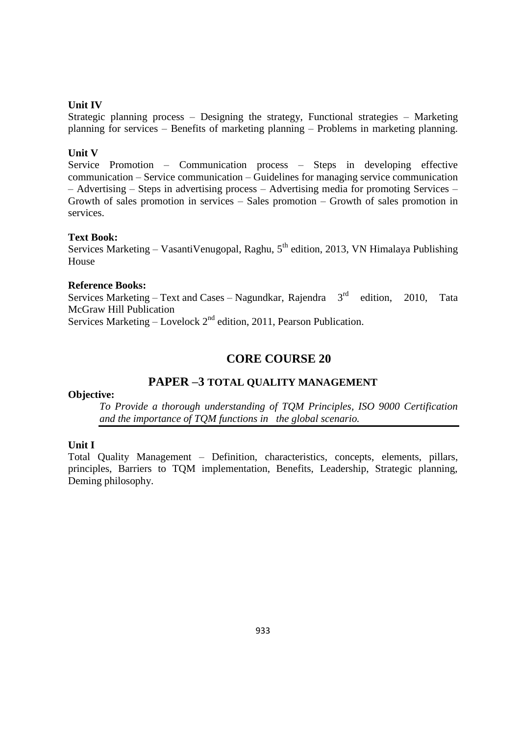#### **Unit IV**

Strategic planning process – Designing the strategy, Functional strategies – Marketing planning for services – Benefits of marketing planning – Problems in marketing planning.

#### **Unit V**

Service Promotion – Communication process – Steps in developing effective communication – Service communication – Guidelines for managing service communication – Advertising – Steps in advertising process – Advertising media for promoting Services – Growth of sales promotion in services – Sales promotion – Growth of sales promotion in services.

#### **Text Book:**

Services Marketing – Vasanti Venugopal, Raghu,  $5<sup>th</sup>$  edition, 2013, VN Himalaya Publishing House

#### **Reference Books:**

Services Marketing – Text and Cases – Nagundkar, Rajendra  $3<sup>rd</sup>$  edition, 2010, Tata McGraw Hill Publication Services Marketing – Lovelock  $2<sup>nd</sup>$  edition, 2011, Pearson Publication.

## **CORE COURSE 20**

## **PAPER –3 TOTAL QUALITY MANAGEMENT**

#### **Objective:**

*To Provide a thorough understanding of TQM Principles, ISO 9000 Certification and the importance of TQM functions in the global scenario.*

#### **Unit I**

Total Quality Management – Definition, characteristics, concepts, elements, pillars, principles, Barriers to TQM implementation, Benefits, Leadership, Strategic planning, Deming philosophy.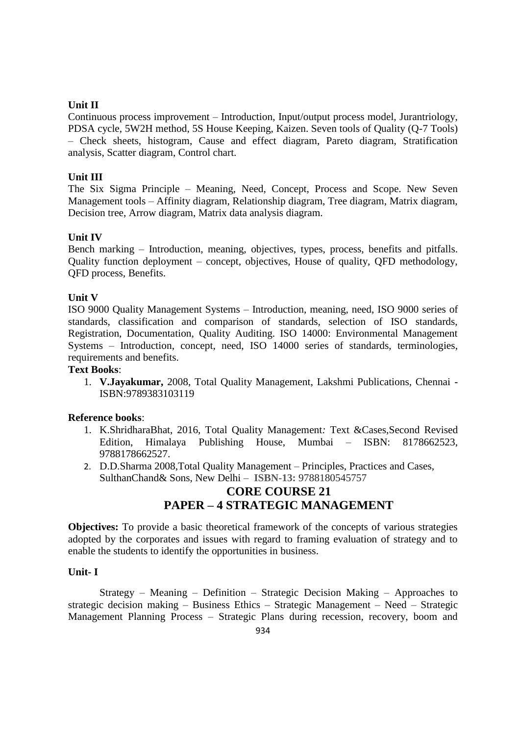#### **Unit II**

Continuous process improvement – Introduction, Input/output process model, Jurantriology, PDSA cycle, 5W2H method, 5S House Keeping, Kaizen. Seven tools of Quality (Q-7 Tools) – Check sheets, histogram, Cause and effect diagram, Pareto diagram, Stratification analysis, Scatter diagram, Control chart.

## **Unit III**

The Six Sigma Principle – Meaning, Need, Concept, Process and Scope. New Seven Management tools – Affinity diagram, Relationship diagram, Tree diagram, Matrix diagram, Decision tree, Arrow diagram, Matrix data analysis diagram.

#### **Unit IV**

Bench marking – Introduction, meaning, objectives, types, process, benefits and pitfalls. Quality function deployment – concept, objectives, House of quality, QFD methodology, QFD process, Benefits.

#### **Unit V**

ISO 9000 Quality Management Systems – Introduction, meaning, need, ISO 9000 series of standards, classification and comparison of standards, selection of ISO standards, Registration, Documentation, Quality Auditing. ISO 14000: Environmental Management Systems – Introduction, concept, need, ISO 14000 series of standards, terminologies, requirements and benefits.

#### **Text Books**:

1. **V.Jayakumar,** 2008, Total Quality Management, Lakshmi Publications, Chennai - ISBN:9789383103119

#### **Reference books**:

- 1. K.ShridharaBhat, 2016, Total Quality Management*:* Text &Cases,Second Revised Edition, Himalaya Publishing House, Mumbai – ISBN: 8178662523, 9788178662527.
- 2. D.D.Sharma 2008,Total Quality Management Principles, Practices and Cases, SulthanChand& Sons, New Delhi – **ISBN-13:** 9788180545757

# **CORE COURSE 21 PAPER – 4 STRATEGIC MANAGEMENT**

**Objectives:** To provide a basic theoretical framework of the concepts of various strategies adopted by the corporates and issues with regard to framing evaluation of strategy and to enable the students to identify the opportunities in business.

#### **Unit- I**

Strategy – Meaning – Definition – Strategic Decision Making – Approaches to strategic decision making – Business Ethics – Strategic Management – Need – Strategic Management Planning Process – Strategic Plans during recession, recovery, boom and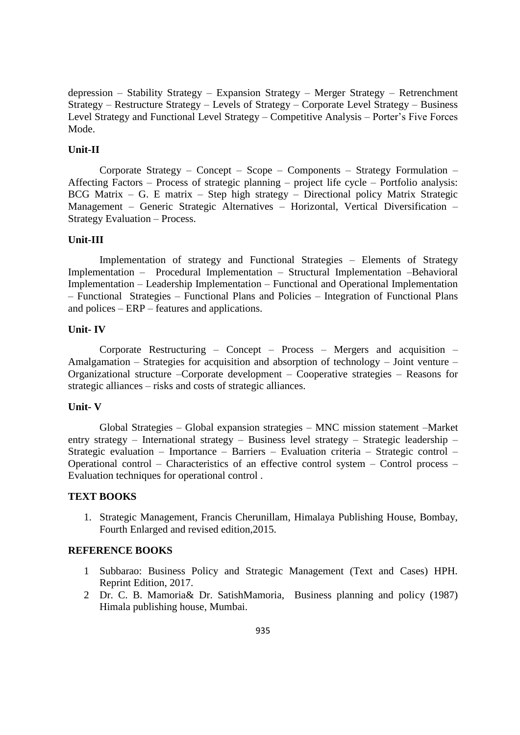depression – Stability Strategy – Expansion Strategy – Merger Strategy – Retrenchment Strategy – Restructure Strategy – Levels of Strategy – Corporate Level Strategy – Business Level Strategy and Functional Level Strategy – Competitive Analysis – Porter's Five Forces Mode.

#### **Unit-II**

Corporate Strategy – Concept – Scope – Components – Strategy Formulation – Affecting Factors – Process of strategic planning – project life cycle – Portfolio analysis: BCG Matrix – G. E matrix – Step high strategy – Directional policy Matrix Strategic Management – Generic Strategic Alternatives – Horizontal, Vertical Diversification – Strategy Evaluation – Process.

#### **Unit-III**

Implementation of strategy and Functional Strategies – Elements of Strategy Implementation – Procedural Implementation – Structural Implementation –Behavioral Implementation – Leadership Implementation – Functional and Operational Implementation – Functional Strategies – Functional Plans and Policies – Integration of Functional Plans and polices – ERP – features and applications.

#### **Unit- IV**

Corporate Restructuring – Concept – Process – Mergers and acquisition – Amalgamation – Strategies for acquisition and absorption of technology – Joint venture – Organizational structure –Corporate development – Cooperative strategies – Reasons for strategic alliances – risks and costs of strategic alliances.

#### **Unit- V**

Global Strategies – Global expansion strategies – MNC mission statement –Market entry strategy – International strategy – Business level strategy – Strategic leadership – Strategic evaluation – Importance – Barriers – Evaluation criteria – Strategic control – Operational control – Characteristics of an effective control system – Control process – Evaluation techniques for operational control .

#### **TEXT BOOKS**

1. Strategic Management, Francis Cherunillam, Himalaya Publishing House, Bombay, Fourth Enlarged and revised edition,2015.

#### **REFERENCE BOOKS**

- 1 Subbarao: Business Policy and Strategic Management (Text and Cases) HPH. Reprint Edition, 2017.
- 2 Dr. C. B. Mamoria& Dr. SatishMamoria, Business planning and policy (1987) Himala publishing house, Mumbai.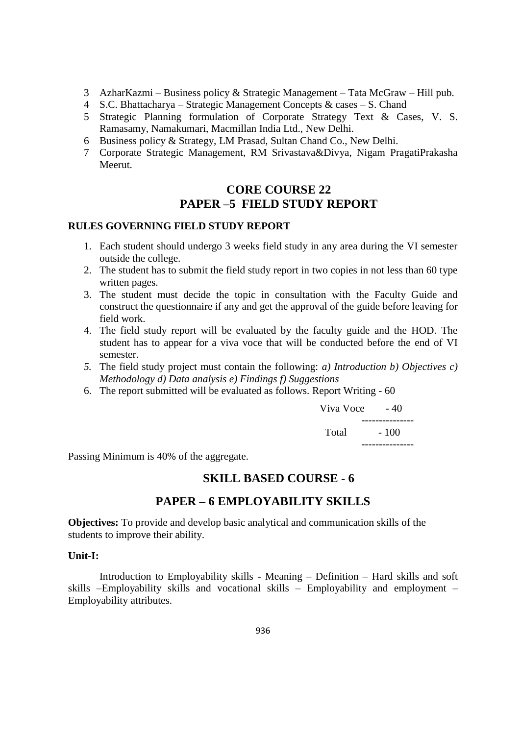- 3 AzharKazmi Business policy & Strategic Management Tata McGraw Hill pub.
- 4 S.C. Bhattacharya Strategic Management Concepts & cases S. Chand
- 5 Strategic Planning formulation of Corporate Strategy Text & Cases, V. S. Ramasamy, Namakumari, Macmillan India Ltd., New Delhi.
- 6 Business policy & Strategy, LM Prasad, Sultan Chand Co., New Delhi.
- 7 Corporate Strategic Management, RM Srivastava&Divya, Nigam PragatiPrakasha Meerut.

## **CORE COURSE 22 PAPER –5 FIELD STUDY REPORT**

#### **RULES GOVERNING FIELD STUDY REPORT**

- 1. Each student should undergo 3 weeks field study in any area during the VI semester outside the college.
- 2. The student has to submit the field study report in two copies in not less than 60 type written pages.
- 3. The student must decide the topic in consultation with the Faculty Guide and construct the questionnaire if any and get the approval of the guide before leaving for field work.
- 4. The field study report will be evaluated by the faculty guide and the HOD. The student has to appear for a viva voce that will be conducted before the end of VI semester.
- *5.* The field study project must contain the following: *a) Introduction b) Objectives c) Methodology d) Data analysis e) Findings f) Suggestions*
- 6. The report submitted will be evaluated as follows. Report Writing 60

Viva Voce  $-40$  --------------- Total - 100 ---------------

Passing Minimum is 40% of the aggregate.

## **SKILL BASED COURSE - 6**

## **PAPER – 6 EMPLOYABILITY SKILLS**

**Objectives:** To provide and develop basic analytical and communication skills of the students to improve their ability.

#### **Unit-I:**

Introduction to Employability skills - Meaning – Definition – Hard skills and soft skills –Employability skills and vocational skills – Employability and employment – Employability attributes.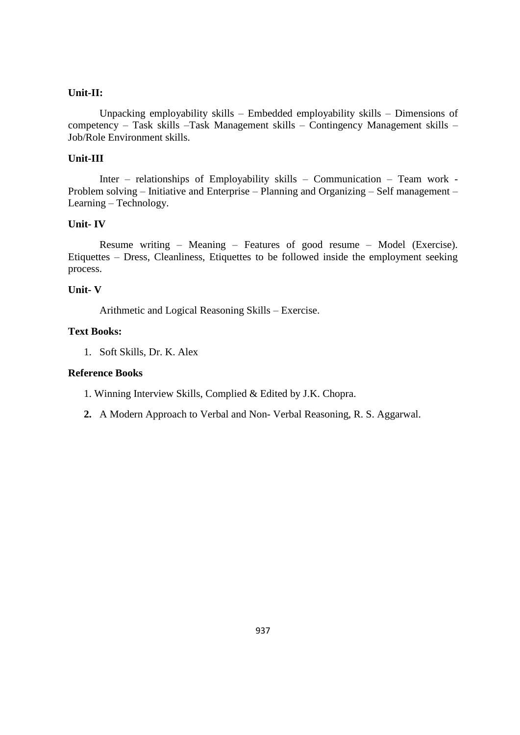#### **Unit-II:**

Unpacking employability skills – Embedded employability skills – Dimensions of competency – Task skills –Task Management skills – Contingency Management skills – Job/Role Environment skills.

#### **Unit-III**

Inter – relationships of Employability skills – Communication – Team work - Problem solving – Initiative and Enterprise – Planning and Organizing – Self management – Learning – Technology.

#### **Unit- IV**

Resume writing – Meaning – Features of good resume – Model (Exercise). Etiquettes – Dress, Cleanliness, Etiquettes to be followed inside the employment seeking process.

#### **Unit- V**

Arithmetic and Logical Reasoning Skills – Exercise.

#### **Text Books:**

1. Soft Skills, Dr. K. Alex

#### **Reference Books**

1. Winning Interview Skills, Complied & Edited by J.K. Chopra.

**2.** A Modern Approach to Verbal and Non- Verbal Reasoning, R. S. Aggarwal.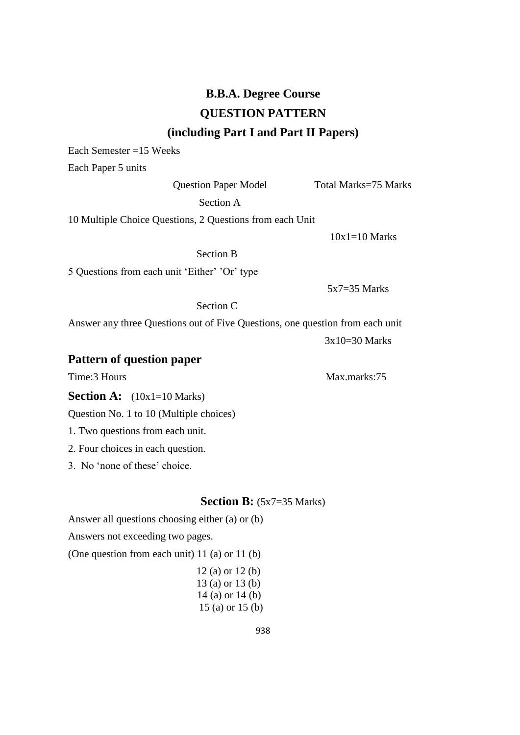# **B.B.A. Degree Course QUESTION PATTERN (including Part I and Part II Papers)**

Each Semester =15 Weeks

Each Paper 5 units

#### Question Paper Model Total Marks=75 Marks

Section A

10 Multiple Choice Questions, 2 Questions from each Unit

 $10x1=10$  Marks

Section B

5 Questions from each unit ‗Either' 'Or' type

Section C

Answer any three Questions out of Five Questions, one question from each unit

3x10=30 Marks

5x7=35 Marks

## **Pattern of question paper**

Time:3 Hours Max.marks:75

**Section A:** (10x1=10 Marks)

Question No. 1 to 10 (Multiple choices)

- 1. Two questions from each unit.
- 2. Four choices in each question.
- 3. No ‗none of these' choice.

#### **Section B:** (5x7=35 Marks)

Answer all questions choosing either (a) or (b)

Answers not exceeding two pages.

(One question from each unit) 11 (a) or 11 (b)

 12 (a) or 12 (b) 13 (a) or 13 (b) 14 (a) or 14 (b) 15 (a) or 15 (b)